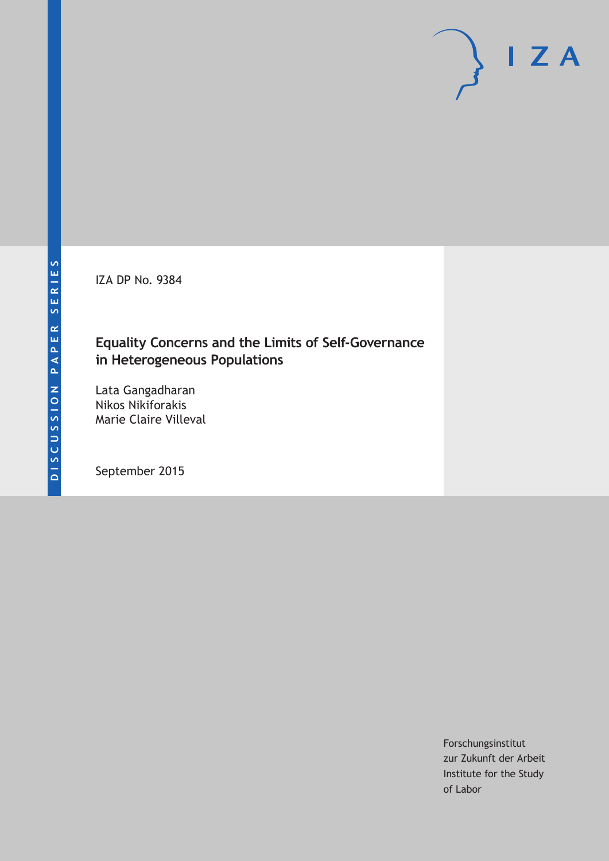IZA DP No. 9384

# **Equality Concerns and the Limits of Self-Governance in Heterogeneous Populations**

Lata Gangadharan Nikos Nikiforakis Marie Claire Villeval

September 2015

Forschungsinstitut zur Zukunft der Arbeit Institute for the Study of Labor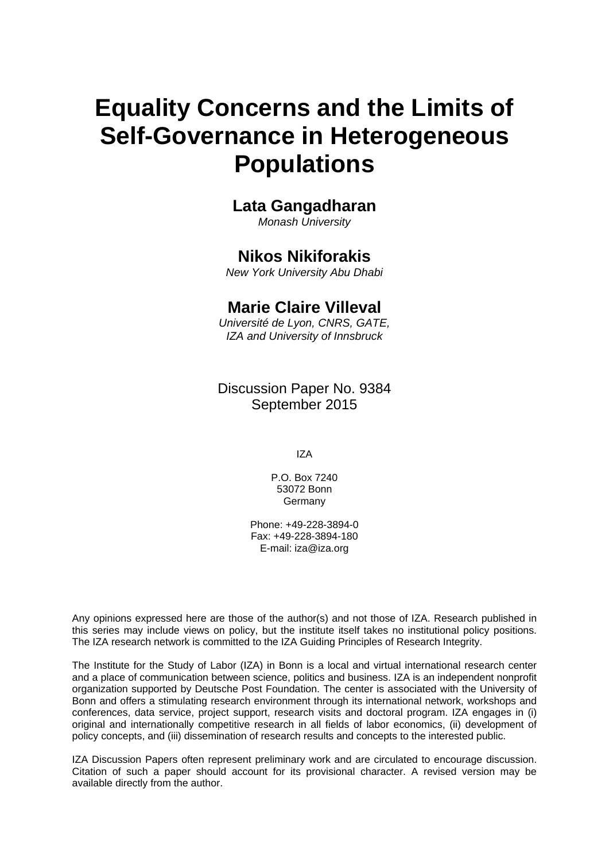# **Equality Concerns and the Limits of Self-Governance in Heterogeneous Populations**

# **Lata Gangadharan**

*Monash University* 

# **Nikos Nikiforakis**

*New York University Abu Dhabi* 

# **Marie Claire Villeval**

*Université de Lyon, CNRS, GATE, IZA and University of Innsbruck*

Discussion Paper No. 9384 September 2015

IZA

P.O. Box 7240 53072 Bonn **Germany** 

Phone: +49-228-3894-0 Fax: +49-228-3894-180 E-mail: iza@iza.org

Any opinions expressed here are those of the author(s) and not those of IZA. Research published in this series may include views on policy, but the institute itself takes no institutional policy positions. The IZA research network is committed to the IZA Guiding Principles of Research Integrity.

The Institute for the Study of Labor (IZA) in Bonn is a local and virtual international research center and a place of communication between science, politics and business. IZA is an independent nonprofit organization supported by Deutsche Post Foundation. The center is associated with the University of Bonn and offers a stimulating research environment through its international network, workshops and conferences, data service, project support, research visits and doctoral program. IZA engages in (i) original and internationally competitive research in all fields of labor economics, (ii) development of policy concepts, and (iii) dissemination of research results and concepts to the interested public.

IZA Discussion Papers often represent preliminary work and are circulated to encourage discussion. Citation of such a paper should account for its provisional character. A revised version may be available directly from the author.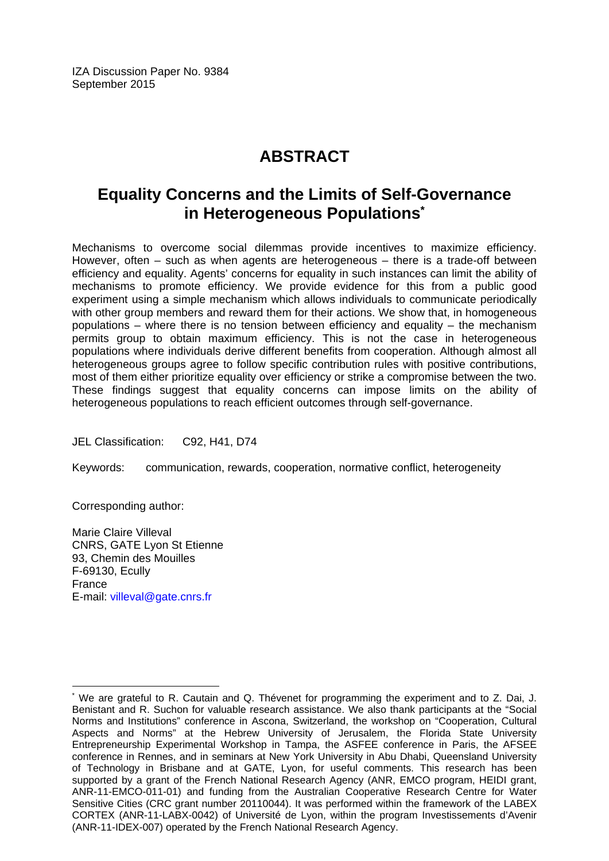IZA Discussion Paper No. 9384 September 2015

# **ABSTRACT**

# **Equality Concerns and the Limits of Self-Governance in Heterogeneous Populations\***

Mechanisms to overcome social dilemmas provide incentives to maximize efficiency. However, often – such as when agents are heterogeneous – there is a trade-off between efficiency and equality. Agents' concerns for equality in such instances can limit the ability of mechanisms to promote efficiency. We provide evidence for this from a public good experiment using a simple mechanism which allows individuals to communicate periodically with other group members and reward them for their actions. We show that, in homogeneous populations – where there is no tension between efficiency and equality – the mechanism permits group to obtain maximum efficiency. This is not the case in heterogeneous populations where individuals derive different benefits from cooperation. Although almost all heterogeneous groups agree to follow specific contribution rules with positive contributions, most of them either prioritize equality over efficiency or strike a compromise between the two. These findings suggest that equality concerns can impose limits on the ability of heterogeneous populations to reach efficient outcomes through self-governance.

JEL Classification: C92, H41, D74

Keywords: communication, rewards, cooperation, normative conflict, heterogeneity

Corresponding author:

Marie Claire Villeval CNRS, GATE Lyon St Etienne 93, Chemin des Mouilles F-69130, Ecully France E-mail: villeval@gate.cnrs.fr

 $\overline{a}$ \* We are grateful to R. Cautain and Q. Thévenet for programming the experiment and to Z. Dai, J. Benistant and R. Suchon for valuable research assistance. We also thank participants at the "Social Norms and Institutions" conference in Ascona, Switzerland, the workshop on "Cooperation, Cultural Aspects and Norms" at the Hebrew University of Jerusalem, the Florida State University Entrepreneurship Experimental Workshop in Tampa, the ASFEE conference in Paris, the AFSEE conference in Rennes, and in seminars at New York University in Abu Dhabi, Queensland University of Technology in Brisbane and at GATE, Lyon, for useful comments. This research has been supported by a grant of the French National Research Agency (ANR, EMCO program, HEIDI grant, ANR-11-EMCO-011-01) and funding from the Australian Cooperative Research Centre for Water Sensitive Cities (CRC grant number 20110044). It was performed within the framework of the LABEX CORTEX (ANR-11-LABX-0042) of Université de Lyon, within the program Investissements d'Avenir (ANR-11-IDEX-007) operated by the French National Research Agency.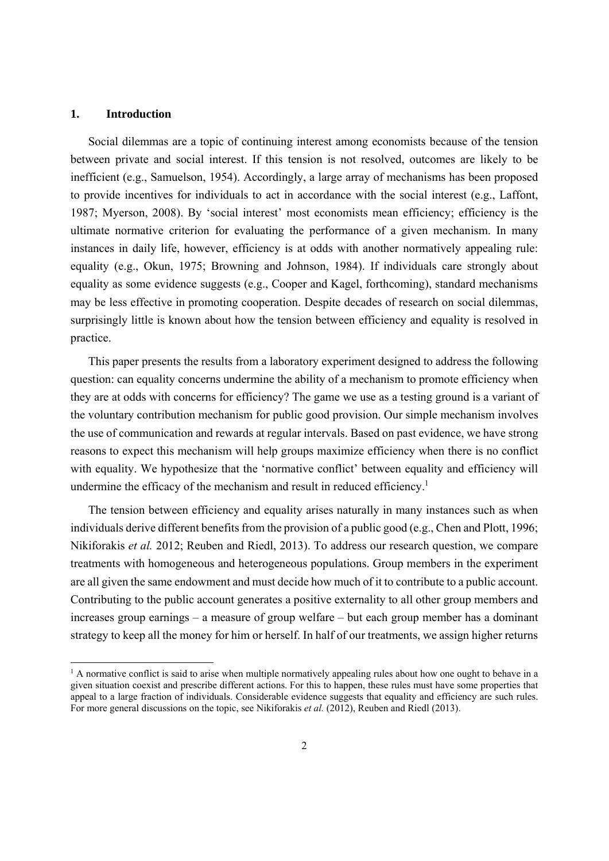#### **1. Introduction**

Social dilemmas are a topic of continuing interest among economists because of the tension between private and social interest. If this tension is not resolved, outcomes are likely to be inefficient (e.g., Samuelson, 1954). Accordingly, a large array of mechanisms has been proposed to provide incentives for individuals to act in accordance with the social interest (e.g., Laffont, 1987; Myerson, 2008). By 'social interest' most economists mean efficiency; efficiency is the ultimate normative criterion for evaluating the performance of a given mechanism. In many instances in daily life, however, efficiency is at odds with another normatively appealing rule: equality (e.g., Okun, 1975; Browning and Johnson, 1984). If individuals care strongly about equality as some evidence suggests (e.g., Cooper and Kagel, forthcoming), standard mechanisms may be less effective in promoting cooperation. Despite decades of research on social dilemmas, surprisingly little is known about how the tension between efficiency and equality is resolved in practice.

This paper presents the results from a laboratory experiment designed to address the following question: can equality concerns undermine the ability of a mechanism to promote efficiency when they are at odds with concerns for efficiency? The game we use as a testing ground is a variant of the voluntary contribution mechanism for public good provision. Our simple mechanism involves the use of communication and rewards at regular intervals. Based on past evidence, we have strong reasons to expect this mechanism will help groups maximize efficiency when there is no conflict with equality. We hypothesize that the 'normative conflict' between equality and efficiency will undermine the efficacy of the mechanism and result in reduced efficiency.<sup>1</sup>

The tension between efficiency and equality arises naturally in many instances such as when individuals derive different benefits from the provision of a public good (e.g., Chen and Plott, 1996; Nikiforakis *et al.* 2012; Reuben and Riedl, 2013). To address our research question, we compare treatments with homogeneous and heterogeneous populations. Group members in the experiment are all given the same endowment and must decide how much of it to contribute to a public account. Contributing to the public account generates a positive externality to all other group members and increases group earnings – a measure of group welfare – but each group member has a dominant strategy to keep all the money for him or herself. In half of our treatments, we assign higher returns

<sup>&</sup>lt;sup>1</sup> A normative conflict is said to arise when multiple normatively appealing rules about how one ought to behave in a given situation coexist and prescribe different actions. For this to happen, these rules must have some properties that appeal to a large fraction of individuals. Considerable evidence suggests that equality and efficiency are such rules. For more general discussions on the topic, see Nikiforakis *et al.* (2012), Reuben and Riedl (2013).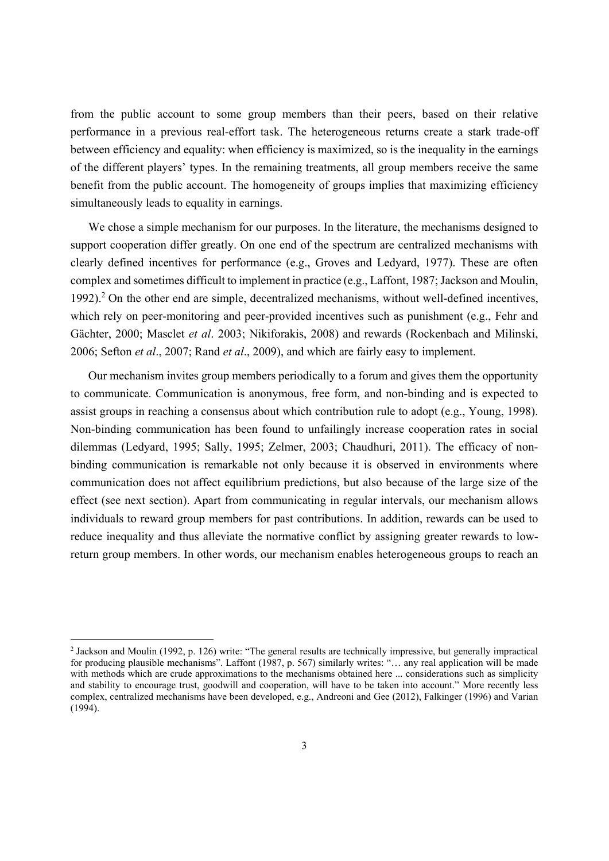from the public account to some group members than their peers, based on their relative performance in a previous real-effort task. The heterogeneous returns create a stark trade-off between efficiency and equality: when efficiency is maximized, so is the inequality in the earnings of the different players' types. In the remaining treatments, all group members receive the same benefit from the public account. The homogeneity of groups implies that maximizing efficiency simultaneously leads to equality in earnings.

We chose a simple mechanism for our purposes. In the literature, the mechanisms designed to support cooperation differ greatly. On one end of the spectrum are centralized mechanisms with clearly defined incentives for performance (e.g., Groves and Ledyard, 1977). These are often complex and sometimes difficult to implement in practice (e.g., Laffont, 1987; Jackson and Moulin, 1992).<sup>2</sup> On the other end are simple, decentralized mechanisms, without well-defined incentives, which rely on peer-monitoring and peer-provided incentives such as punishment (e.g., Fehr and Gächter, 2000; Masclet *et al*. 2003; Nikiforakis, 2008) and rewards (Rockenbach and Milinski, 2006; Sefton *et al*., 2007; Rand *et al*., 2009), and which are fairly easy to implement.

Our mechanism invites group members periodically to a forum and gives them the opportunity to communicate. Communication is anonymous, free form, and non-binding and is expected to assist groups in reaching a consensus about which contribution rule to adopt (e.g., Young, 1998). Non-binding communication has been found to unfailingly increase cooperation rates in social dilemmas (Ledyard, 1995; Sally, 1995; Zelmer, 2003; Chaudhuri, 2011). The efficacy of nonbinding communication is remarkable not only because it is observed in environments where communication does not affect equilibrium predictions, but also because of the large size of the effect (see next section). Apart from communicating in regular intervals, our mechanism allows individuals to reward group members for past contributions. In addition, rewards can be used to reduce inequality and thus alleviate the normative conflict by assigning greater rewards to lowreturn group members. In other words, our mechanism enables heterogeneous groups to reach an

<sup>2</sup> Jackson and Moulin (1992, p. 126) write: "The general results are technically impressive, but generally impractical for producing plausible mechanisms". Laffont (1987, p. 567) similarly writes: "… any real application will be made with methods which are crude approximations to the mechanisms obtained here ... considerations such as simplicity and stability to encourage trust, goodwill and cooperation, will have to be taken into account." More recently less complex, centralized mechanisms have been developed, e.g., Andreoni and Gee (2012), Falkinger (1996) and Varian (1994).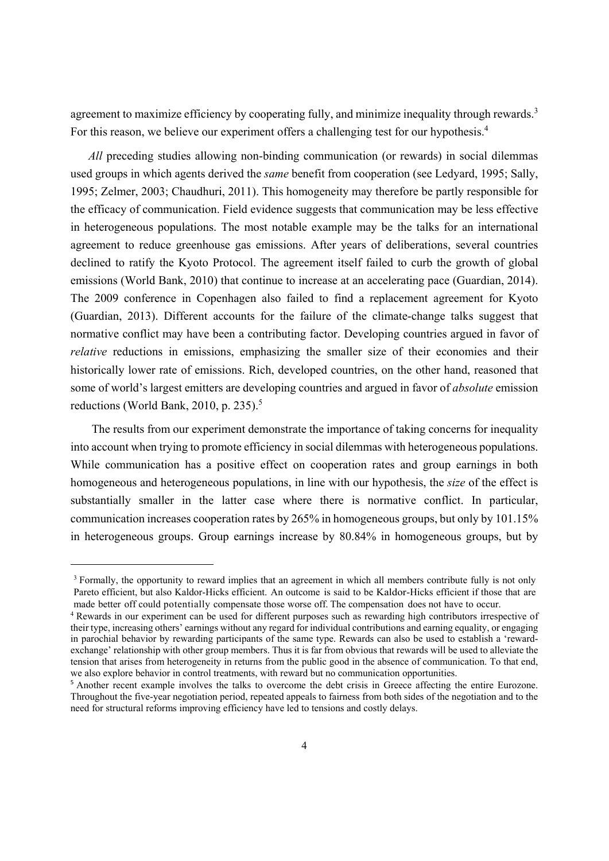agreement to maximize efficiency by cooperating fully, and minimize inequality through rewards.<sup>3</sup> For this reason, we believe our experiment offers a challenging test for our hypothesis.<sup>4</sup>

*All* preceding studies allowing non-binding communication (or rewards) in social dilemmas used groups in which agents derived the *same* benefit from cooperation (see Ledyard, 1995; Sally, 1995; Zelmer, 2003; Chaudhuri, 2011). This homogeneity may therefore be partly responsible for the efficacy of communication. Field evidence suggests that communication may be less effective in heterogeneous populations. The most notable example may be the talks for an international agreement to reduce greenhouse gas emissions. After years of deliberations, several countries declined to ratify the Kyoto Protocol. The agreement itself failed to curb the growth of global emissions (World Bank, 2010) that continue to increase at an accelerating pace (Guardian, 2014). The 2009 conference in Copenhagen also failed to find a replacement agreement for Kyoto (Guardian, 2013). Different accounts for the failure of the climate-change talks suggest that normative conflict may have been a contributing factor. Developing countries argued in favor of *relative* reductions in emissions, emphasizing the smaller size of their economies and their historically lower rate of emissions. Rich, developed countries, on the other hand, reasoned that some of world's largest emitters are developing countries and argued in favor of *absolute* emission reductions (World Bank, 2010, p. 235).<sup>5</sup>

The results from our experiment demonstrate the importance of taking concerns for inequality into account when trying to promote efficiency in social dilemmas with heterogeneous populations. While communication has a positive effect on cooperation rates and group earnings in both homogeneous and heterogeneous populations, in line with our hypothesis, the *size* of the effect is substantially smaller in the latter case where there is normative conflict. In particular, communication increases cooperation rates by 265% in homogeneous groups, but only by 101.15% in heterogeneous groups. Group earnings increase by 80.84% in homogeneous groups, but by

<sup>&</sup>lt;sup>3</sup> Formally, the opportunity to reward implies that an agreement in which all members contribute fully is not only Pareto efficient, but also Kaldor-Hicks efficient. An outcome is said to be Kaldor-Hicks efficient if those that are made better off could potentially compensate those worse off. The compensation does not have to occur. 4

Rewards in our experiment can be used for different purposes such as rewarding high contributors irrespective of their type, increasing others' earnings without any regard for individual contributions and earning equality, or engaging in parochial behavior by rewarding participants of the same type. Rewards can also be used to establish a 'rewardexchange' relationship with other group members. Thus it is far from obvious that rewards will be used to alleviate the tension that arises from heterogeneity in returns from the public good in the absence of communication. To that end, we also explore behavior in control treatments, with reward but no communication opportunities.

<sup>&</sup>lt;sup>5</sup> Another recent example involves the talks to overcome the debt crisis in Greece affecting the entire Eurozone. Throughout the five-year negotiation period, repeated appeals to fairness from both sides of the negotiation and to the need for structural reforms improving efficiency have led to tensions and costly delays.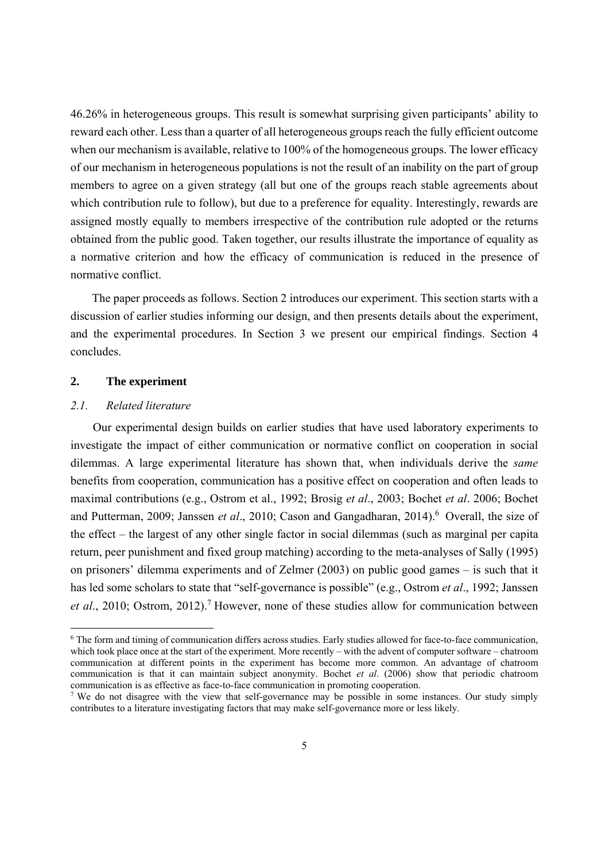46.26% in heterogeneous groups. This result is somewhat surprising given participants' ability to reward each other. Less than a quarter of all heterogeneous groups reach the fully efficient outcome when our mechanism is available, relative to 100% of the homogeneous groups. The lower efficacy of our mechanism in heterogeneous populations is not the result of an inability on the part of group members to agree on a given strategy (all but one of the groups reach stable agreements about which contribution rule to follow), but due to a preference for equality. Interestingly, rewards are assigned mostly equally to members irrespective of the contribution rule adopted or the returns obtained from the public good. Taken together, our results illustrate the importance of equality as a normative criterion and how the efficacy of communication is reduced in the presence of normative conflict.

The paper proceeds as follows. Section 2 introduces our experiment. This section starts with a discussion of earlier studies informing our design, and then presents details about the experiment, and the experimental procedures. In Section 3 we present our empirical findings. Section 4 concludes.

# **2. The experiment**

#### *2.1. Related literature*

Our experimental design builds on earlier studies that have used laboratory experiments to investigate the impact of either communication or normative conflict on cooperation in social dilemmas. A large experimental literature has shown that, when individuals derive the *same* benefits from cooperation, communication has a positive effect on cooperation and often leads to maximal contributions (e.g., Ostrom et al., 1992; Brosig *et al*., 2003; Bochet *et al*. 2006; Bochet and Putterman, 2009; Janssen *et al.*, 2010; Cason and Gangadharan, 2014).<sup>6</sup> Overall, the size of the effect – the largest of any other single factor in social dilemmas (such as marginal per capita return, peer punishment and fixed group matching) according to the meta-analyses of Sally (1995) on prisoners' dilemma experiments and of Zelmer (2003) on public good games – is such that it has led some scholars to state that "self-governance is possible" (e.g., Ostrom *et al*., 1992; Janssen et al., 2010; Ostrom, 2012).<sup>7</sup> However, none of these studies allow for communication between

<sup>6</sup> The form and timing of communication differs across studies. Early studies allowed for face-to-face communication, which took place once at the start of the experiment. More recently – with the advent of computer software – chatroom communication at different points in the experiment has become more common. An advantage of chatroom communication is that it can maintain subject anonymity. Bochet *et al*. (2006) show that periodic chatroom communication is as effective as face-to-face communication in promoting cooperation.

<sup>&</sup>lt;sup>7</sup> We do not disagree with the view that self-governance may be possible in some instances. Our study simply contributes to a literature investigating factors that may make self-governance more or less likely.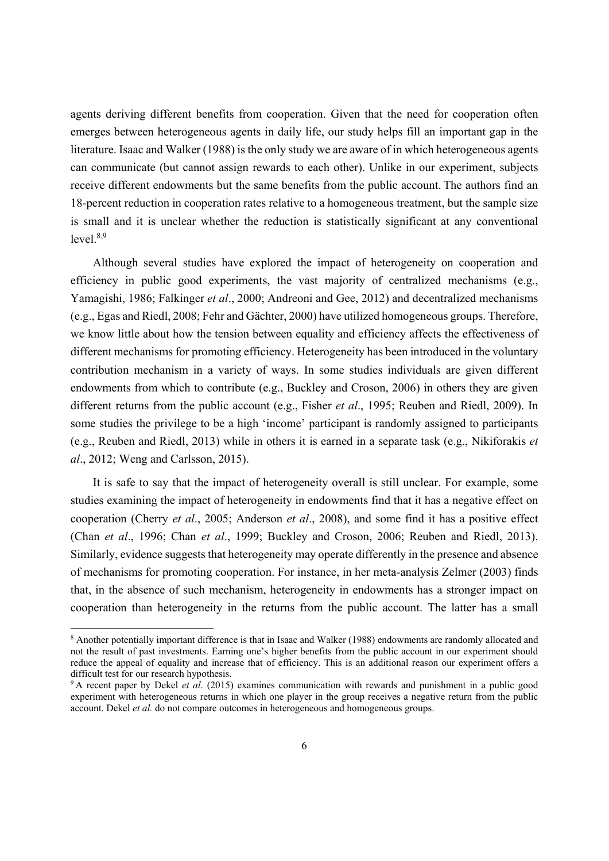agents deriving different benefits from cooperation. Given that the need for cooperation often emerges between heterogeneous agents in daily life, our study helps fill an important gap in the literature. Isaac and Walker (1988) is the only study we are aware of in which heterogeneous agents can communicate (but cannot assign rewards to each other). Unlike in our experiment, subjects receive different endowments but the same benefits from the public account. The authors find an 18-percent reduction in cooperation rates relative to a homogeneous treatment, but the sample size is small and it is unclear whether the reduction is statistically significant at any conventional level  $8,9$ 

Although several studies have explored the impact of heterogeneity on cooperation and efficiency in public good experiments, the vast majority of centralized mechanisms (e.g., Yamagishi, 1986; Falkinger *et al*., 2000; Andreoni and Gee, 2012) and decentralized mechanisms (e.g., Egas and Riedl, 2008; Fehr and Gächter, 2000) have utilized homogeneous groups. Therefore, we know little about how the tension between equality and efficiency affects the effectiveness of different mechanisms for promoting efficiency. Heterogeneity has been introduced in the voluntary contribution mechanism in a variety of ways. In some studies individuals are given different endowments from which to contribute (e.g., Buckley and Croson, 2006) in others they are given different returns from the public account (e.g., Fisher *et al*., 1995; Reuben and Riedl, 2009). In some studies the privilege to be a high 'income' participant is randomly assigned to participants (e.g., Reuben and Riedl, 2013) while in others it is earned in a separate task (e.g., Nikiforakis *et al*., 2012; Weng and Carlsson, 2015).

It is safe to say that the impact of heterogeneity overall is still unclear. For example, some studies examining the impact of heterogeneity in endowments find that it has a negative effect on cooperation (Cherry *et al*., 2005; Anderson *et al*., 2008), and some find it has a positive effect (Chan *et al*., 1996; Chan *et al*., 1999; Buckley and Croson, 2006; Reuben and Riedl, 2013). Similarly, evidence suggests that heterogeneity may operate differently in the presence and absence of mechanisms for promoting cooperation. For instance, in her meta-analysis Zelmer (2003) finds that, in the absence of such mechanism, heterogeneity in endowments has a stronger impact on cooperation than heterogeneity in the returns from the public account. The latter has a small

<sup>8</sup> Another potentially important difference is that in Isaac and Walker (1988) endowments are randomly allocated and not the result of past investments. Earning one's higher benefits from the public account in our experiment should reduce the appeal of equality and increase that of efficiency. This is an additional reason our experiment offers a difficult test for our research hypothesis.

<sup>9</sup> A recent paper by Dekel *et al*. (2015) examines communication with rewards and punishment in a public good experiment with heterogeneous returns in which one player in the group receives a negative return from the public account. Dekel *et al.* do not compare outcomes in heterogeneous and homogeneous groups.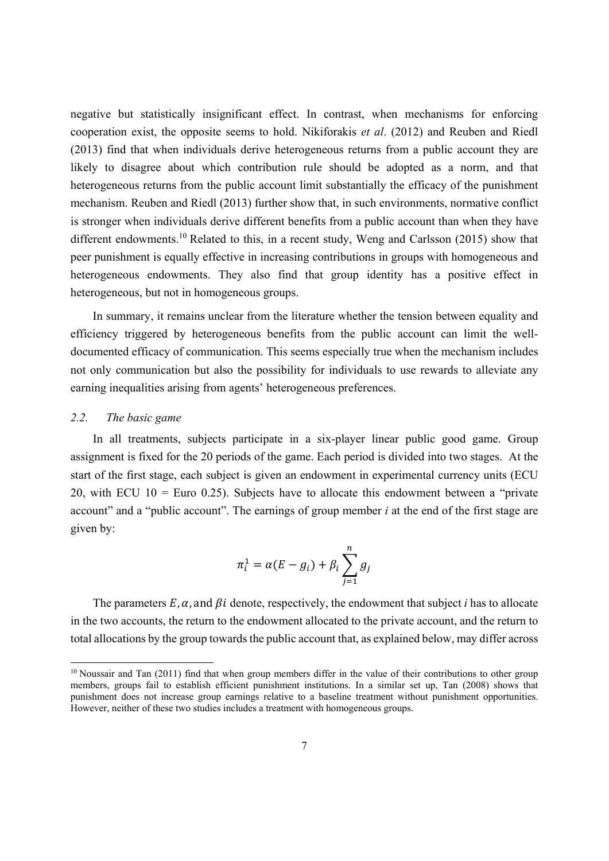negative but statistically insignificant effect. In contrast, when mechanisms for enforcing cooperation exist, the opposite seems to hold. Nikiforakis *et al*. (2012) and Reuben and Riedl (2013) find that when individuals derive heterogeneous returns from a public account they are likely to disagree about which contribution rule should be adopted as a norm, and that heterogeneous returns from the public account limit substantially the efficacy of the punishment mechanism. Reuben and Riedl (2013) further show that, in such environments, normative conflict is stronger when individuals derive different benefits from a public account than when they have different endowments.<sup>10</sup> Related to this, in a recent study, Weng and Carlsson (2015) show that peer punishment is equally effective in increasing contributions in groups with homogeneous and heterogeneous endowments. They also find that group identity has a positive effect in heterogeneous, but not in homogeneous groups.

In summary, it remains unclear from the literature whether the tension between equality and efficiency triggered by heterogeneous benefits from the public account can limit the welldocumented efficacy of communication. This seems especially true when the mechanism includes not only communication but also the possibility for individuals to use rewards to alleviate any earning inequalities arising from agents' heterogeneous preferences.

## *2.2. The basic game*

In all treatments, subjects participate in a six-player linear public good game. Group assignment is fixed for the 20 periods of the game. Each period is divided into two stages. At the start of the first stage, each subject is given an endowment in experimental currency units (ECU 20, with ECU  $10 =$  Euro 0.25). Subjects have to allocate this endowment between a "private" account" and a "public account". The earnings of group member *i* at the end of the first stage are given by:

$$
\pi_i^1 = \alpha (E - g_i) + \beta_i \sum_{j=1}^n g_j
$$

The parameters  $E$ ,  $\alpha$ , and  $\beta i$  denote, respectively, the endowment that subject *i* has to allocate in the two accounts, the return to the endowment allocated to the private account, and the return to total allocations by the group towards the public account that, as explained below, may differ across

<sup>&</sup>lt;sup>10</sup> Noussair and Tan (2011) find that when group members differ in the value of their contributions to other group members, groups fail to establish efficient punishment institutions. In a similar set up, Tan (2008) shows that punishment does not increase group earnings relative to a baseline treatment without punishment opportunities. However, neither of these two studies includes a treatment with homogeneous groups.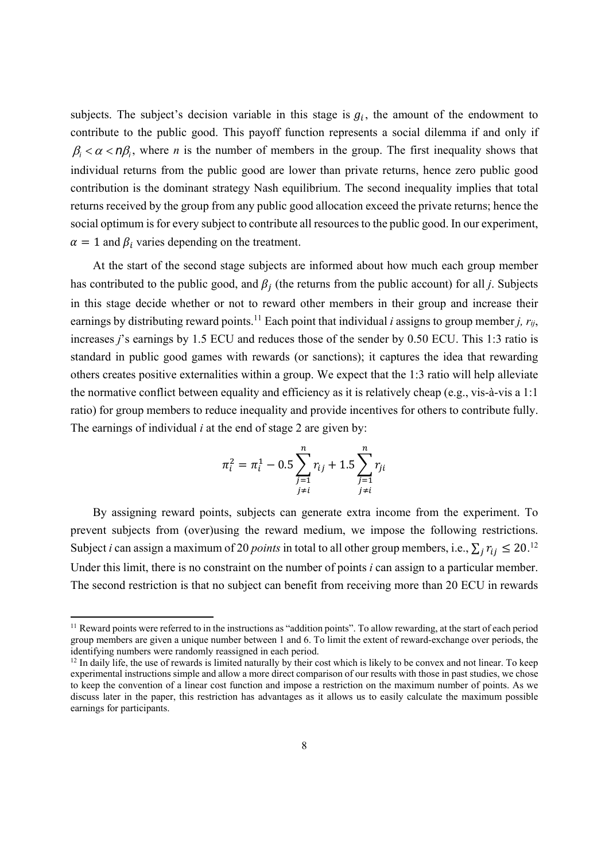subjects. The subject's decision variable in this stage is  $g_i$ , the amount of the endowment to contribute to the public good. This payoff function represents a social dilemma if and only if  $\beta_i < \alpha < n\beta_i$ , where *n* is the number of members in the group. The first inequality shows that individual returns from the public good are lower than private returns, hence zero public good contribution is the dominant strategy Nash equilibrium. The second inequality implies that total returns received by the group from any public good allocation exceed the private returns; hence the social optimum is for every subject to contribute all resources to the public good. In our experiment,  $\alpha = 1$  and  $\beta_i$  varies depending on the treatment.

At the start of the second stage subjects are informed about how much each group member has contributed to the public good, and  $\beta_i$  (the returns from the public account) for all *j*. Subjects in this stage decide whether or not to reward other members in their group and increase their earnings by distributing reward points.<sup>11</sup> Each point that individual *i* assigns to group member *j, r<sub>ij</sub>*, increases *j*'s earnings by 1.5 ECU and reduces those of the sender by 0.50 ECU. This 1:3 ratio is standard in public good games with rewards (or sanctions); it captures the idea that rewarding others creates positive externalities within a group. We expect that the 1:3 ratio will help alleviate the normative conflict between equality and efficiency as it is relatively cheap (e.g., vis-à-vis a 1:1 ratio) for group members to reduce inequality and provide incentives for others to contribute fully. The earnings of individual *i* at the end of stage 2 are given by:

$$
\pi_i^2 = \pi_i^1 - 0.5 \sum_{\substack{j=1 \ j \neq i}}^n r_{ij} + 1.5 \sum_{\substack{j=1 \ j \neq i}}^n r_{ji}
$$

By assigning reward points, subjects can generate extra income from the experiment. To prevent subjects from (over)using the reward medium, we impose the following restrictions. Subject *i* can assign a maximum of 20 *points* in total to all other group members, i.e.,  $\sum_j r_{ij} \leq 20$ .<sup>12</sup> Under this limit, there is no constraint on the number of points *i* can assign to a particular member. The second restriction is that no subject can benefit from receiving more than 20 ECU in rewards

 $<sup>11</sup>$  Reward points were referred to in the instructions as "addition points". To allow rewarding, at the start of each period</sup> group members are given a unique number between 1 and 6. To limit the extent of reward-exchange over periods, the identifying numbers were randomly reassigned in each period.

 $12$  In daily life, the use of rewards is limited naturally by their cost which is likely to be convex and not linear. To keep experimental instructions simple and allow a more direct comparison of our results with those in past studies, we chose to keep the convention of a linear cost function and impose a restriction on the maximum number of points. As we discuss later in the paper, this restriction has advantages as it allows us to easily calculate the maximum possible earnings for participants.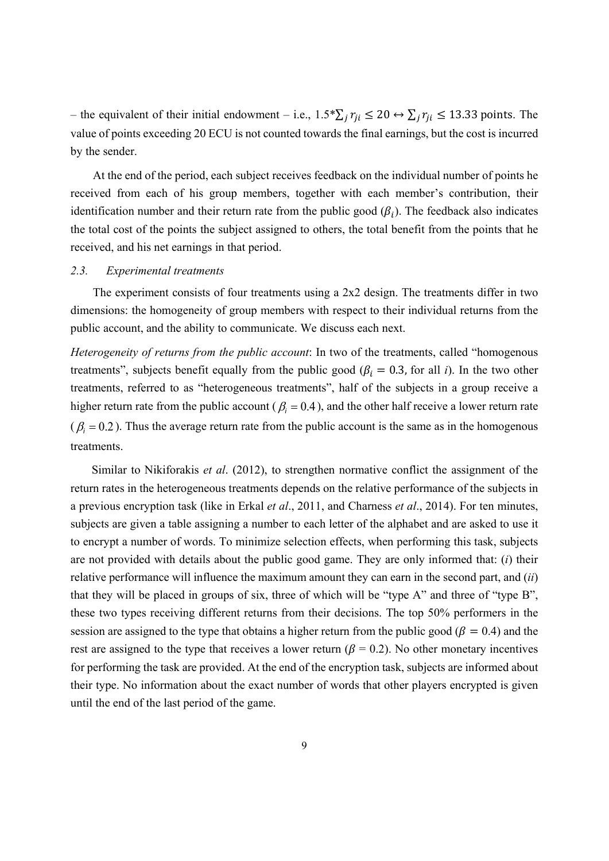– the equivalent of their initial endowment – i.e.,  $1.5*\sum_i r_{ii} \le 20 \leftrightarrow \sum_i r_{ii} \le 13.33$  points. The value of points exceeding 20 ECU is not counted towards the final earnings, but the cost is incurred by the sender.

At the end of the period, each subject receives feedback on the individual number of points he received from each of his group members, together with each member's contribution, their identification number and their return rate from the public good  $(\beta_i)$ . The feedback also indicates the total cost of the points the subject assigned to others, the total benefit from the points that he received, and his net earnings in that period.

### *2.3. Experimental treatments*

The experiment consists of four treatments using a 2x2 design. The treatments differ in two dimensions: the homogeneity of group members with respect to their individual returns from the public account, and the ability to communicate. We discuss each next.

*Heterogeneity of returns from the public account*: In two of the treatments, called "homogenous treatments", subjects benefit equally from the public good ( $\beta_i = 0.3$ , for all *i*). In the two other treatments, referred to as "heterogeneous treatments", half of the subjects in a group receive a higher return rate from the public account ( $\beta$ <sub>i</sub> = 0.4), and the other half receive a lower return rate  $(\beta_i = 0.2)$ . Thus the average return rate from the public account is the same as in the homogenous **treatments** 

Similar to Nikiforakis *et al*. (2012), to strengthen normative conflict the assignment of the return rates in the heterogeneous treatments depends on the relative performance of the subjects in a previous encryption task (like in Erkal *et al*., 2011, and Charness *et al*., 2014). For ten minutes, subjects are given a table assigning a number to each letter of the alphabet and are asked to use it to encrypt a number of words. To minimize selection effects, when performing this task, subjects are not provided with details about the public good game. They are only informed that: (*i*) their relative performance will influence the maximum amount they can earn in the second part, and (*ii*) that they will be placed in groups of six, three of which will be "type A" and three of "type B", these two types receiving different returns from their decisions. The top 50% performers in the session are assigned to the type that obtains a higher return from the public good ( $\beta = 0.4$ ) and the rest are assigned to the type that receives a lower return ( $\beta = 0.2$ ). No other monetary incentives for performing the task are provided. At the end of the encryption task, subjects are informed about their type. No information about the exact number of words that other players encrypted is given until the end of the last period of the game.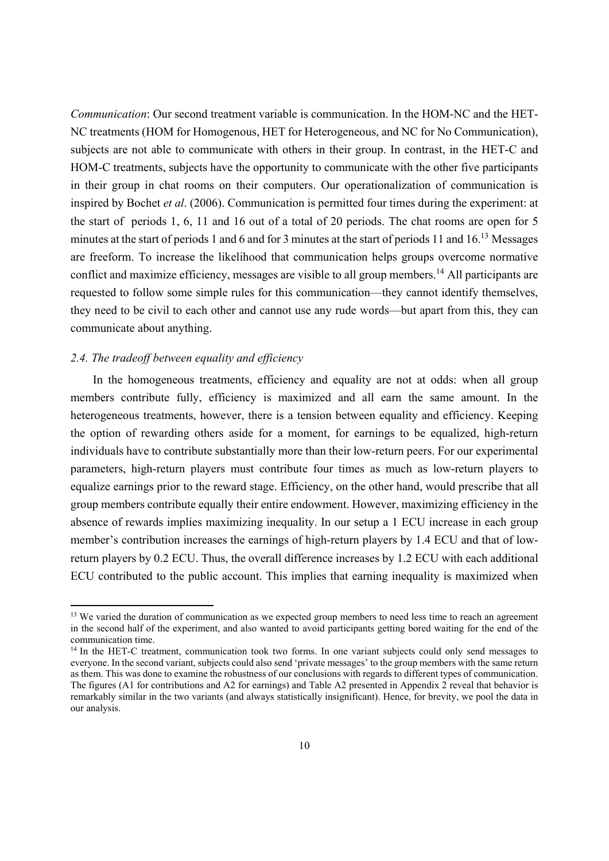*Communication*: Our second treatment variable is communication. In the HOM-NC and the HET-NC treatments (HOM for Homogenous, HET for Heterogeneous, and NC for No Communication), subjects are not able to communicate with others in their group. In contrast, in the HET-C and HOM-C treatments, subjects have the opportunity to communicate with the other five participants in their group in chat rooms on their computers. Our operationalization of communication is inspired by Bochet *et al*. (2006). Communication is permitted four times during the experiment: at the start of periods 1, 6, 11 and 16 out of a total of 20 periods. The chat rooms are open for 5 minutes at the start of periods 1 and 6 and for 3 minutes at the start of periods 11 and 16.<sup>13</sup> Messages are freeform. To increase the likelihood that communication helps groups overcome normative conflict and maximize efficiency, messages are visible to all group members.<sup>14</sup> All participants are requested to follow some simple rules for this communication—they cannot identify themselves, they need to be civil to each other and cannot use any rude words—but apart from this, they can communicate about anything.

# *2.4. The tradeoff between equality and efficiency*

In the homogeneous treatments, efficiency and equality are not at odds: when all group members contribute fully, efficiency is maximized and all earn the same amount. In the heterogeneous treatments, however, there is a tension between equality and efficiency. Keeping the option of rewarding others aside for a moment, for earnings to be equalized, high-return individuals have to contribute substantially more than their low-return peers. For our experimental parameters, high-return players must contribute four times as much as low-return players to equalize earnings prior to the reward stage. Efficiency, on the other hand, would prescribe that all group members contribute equally their entire endowment. However, maximizing efficiency in the absence of rewards implies maximizing inequality. In our setup a 1 ECU increase in each group member's contribution increases the earnings of high-return players by 1.4 ECU and that of lowreturn players by 0.2 ECU. Thus, the overall difference increases by 1.2 ECU with each additional ECU contributed to the public account. This implies that earning inequality is maximized when

<sup>&</sup>lt;sup>13</sup> We varied the duration of communication as we expected group members to need less time to reach an agreement in the second half of the experiment, and also wanted to avoid participants getting bored waiting for the end of the communication time.

<sup>&</sup>lt;sup>14</sup> In the HET-C treatment, communication took two forms. In one variant subjects could only send messages to everyone. In the second variant, subjects could also send 'private messages' to the group members with the same return as them. This was done to examine the robustness of our conclusions with regards to different types of communication. The figures (A1 for contributions and A2 for earnings) and Table A2 presented in Appendix 2 reveal that behavior is remarkably similar in the two variants (and always statistically insignificant). Hence, for brevity, we pool the data in our analysis.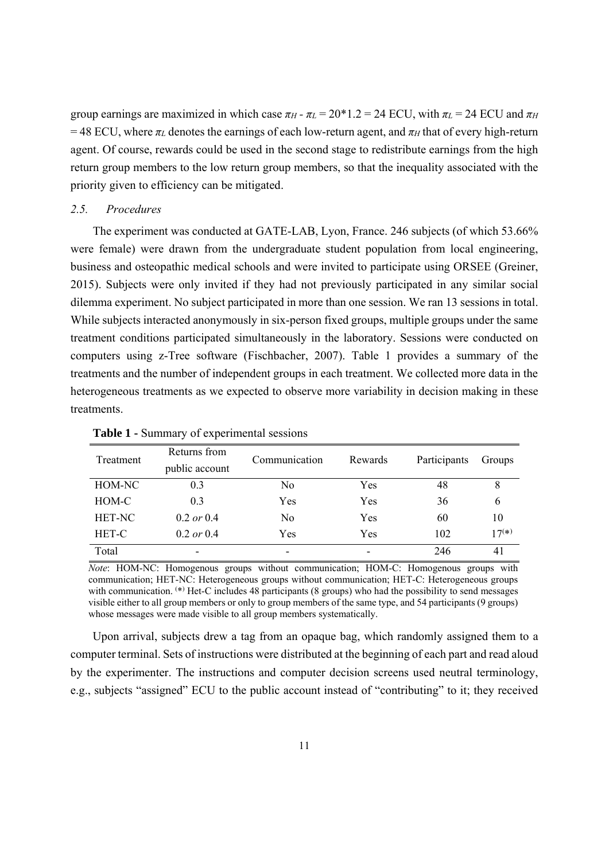group earnings are maximized in which case  $\pi$ *H* -  $\pi$ *L* = 20\*1.2 = 24 ECU, with  $\pi$ *L* = 24 ECU and  $\pi$ *H* = 48 ECU, where  $\pi$ <sup>L</sup> denotes the earnings of each low-return agent, and  $\pi$ <sup>H</sup> that of every high-return agent. Of course, rewards could be used in the second stage to redistribute earnings from the high return group members to the low return group members, so that the inequality associated with the priority given to efficiency can be mitigated.

#### *2.5. Procedures*

The experiment was conducted at GATE-LAB, Lyon, France. 246 subjects (of which 53.66% were female) were drawn from the undergraduate student population from local engineering, business and osteopathic medical schools and were invited to participate using ORSEE (Greiner, 2015). Subjects were only invited if they had not previously participated in any similar social dilemma experiment. No subject participated in more than one session. We ran 13 sessions in total. While subjects interacted anonymously in six-person fixed groups, multiple groups under the same treatment conditions participated simultaneously in the laboratory. Sessions were conducted on computers using z-Tree software (Fischbacher, 2007). Table 1 provides a summary of the treatments and the number of independent groups in each treatment. We collected more data in the heterogeneous treatments as we expected to observe more variability in decision making in these treatments.

|           | Returns from          | Communication  | Rewards                  |              |            |  |
|-----------|-----------------------|----------------|--------------------------|--------------|------------|--|
| Treatment | public account        |                |                          | Participants | Groups     |  |
| HOM-NC    | 0.3                   | No             | Yes                      | 48           | 8          |  |
| HOM-C     | 0.3                   | Yes            | Yes                      | 36           | 6          |  |
| HET-NC    | $0.2 \text{ or } 0.4$ | N <sub>0</sub> | Yes                      | 60           | 10         |  |
| HET-C     | $0.2 \text{ or } 0.4$ | Yes            | Yes                      | 102          | $17^{(*)}$ |  |
| Total     | -                     | ۰              | $\overline{\phantom{0}}$ | 246          | 41         |  |

**Table 1 -** Summary of experimental sessions

*Note*: HOM-NC: Homogenous groups without communication; HOM-C: Homogenous groups with communication; HET-NC: Heterogeneous groups without communication; HET-C: Heterogeneous groups with communication. (\*) Het-C includes 48 participants (8 groups) who had the possibility to send messages visible either to all group members or only to group members of the same type, and 54 participants (9 groups) whose messages were made visible to all group members systematically.

Upon arrival, subjects drew a tag from an opaque bag, which randomly assigned them to a computer terminal. Sets of instructions were distributed at the beginning of each part and read aloud by the experimenter. The instructions and computer decision screens used neutral terminology, e.g., subjects "assigned" ECU to the public account instead of "contributing" to it; they received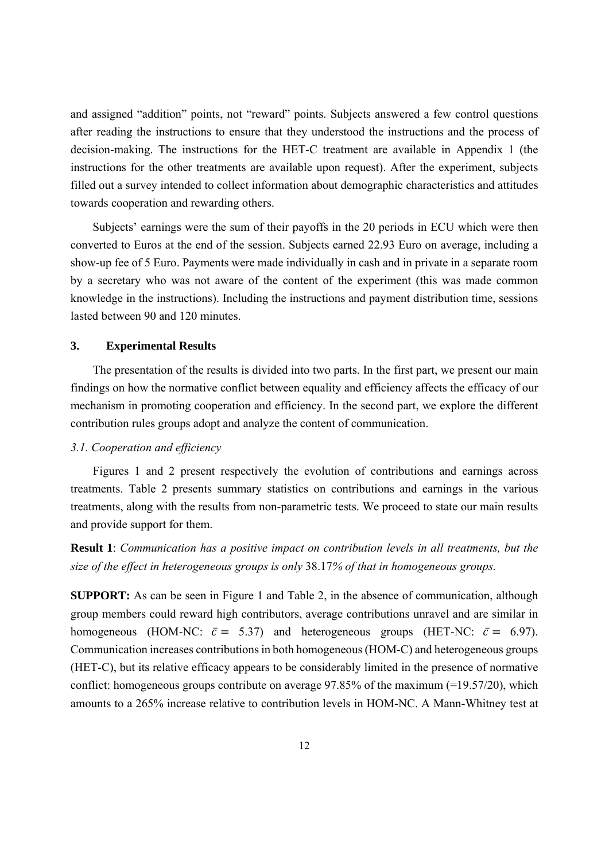and assigned "addition" points, not "reward" points. Subjects answered a few control questions after reading the instructions to ensure that they understood the instructions and the process of decision-making. The instructions for the HET-C treatment are available in Appendix 1 (the instructions for the other treatments are available upon request). After the experiment, subjects filled out a survey intended to collect information about demographic characteristics and attitudes towards cooperation and rewarding others.

Subjects' earnings were the sum of their payoffs in the 20 periods in ECU which were then converted to Euros at the end of the session. Subjects earned 22.93 Euro on average, including a show-up fee of 5 Euro. Payments were made individually in cash and in private in a separate room by a secretary who was not aware of the content of the experiment (this was made common knowledge in the instructions). Including the instructions and payment distribution time, sessions lasted between 90 and 120 minutes.

# **3. Experimental Results**

The presentation of the results is divided into two parts. In the first part, we present our main findings on how the normative conflict between equality and efficiency affects the efficacy of our mechanism in promoting cooperation and efficiency. In the second part, we explore the different contribution rules groups adopt and analyze the content of communication.

### *3.1. Cooperation and efficiency*

Figures 1 and 2 present respectively the evolution of contributions and earnings across treatments. Table 2 presents summary statistics on contributions and earnings in the various treatments, along with the results from non-parametric tests. We proceed to state our main results and provide support for them.

**Result 1**: *Communication has a positive impact on contribution levels in all treatments, but the size of the effect in heterogeneous groups is only* 38.17*% of that in homogeneous groups.*

**SUPPORT:** As can be seen in Figure 1 and Table 2, in the absence of communication, although group members could reward high contributors, average contributions unravel and are similar in homogeneous (HOM-NC:  $\bar{c} = 5.37$ ) and heterogeneous groups (HET-NC:  $\bar{c} = 6.97$ ). Communication increases contributions in both homogeneous (HOM-C) and heterogeneous groups (HET-C), but its relative efficacy appears to be considerably limited in the presence of normative conflict: homogeneous groups contribute on average 97.85% of the maximum (=19.57/20), which amounts to a 265% increase relative to contribution levels in HOM-NC. A Mann-Whitney test at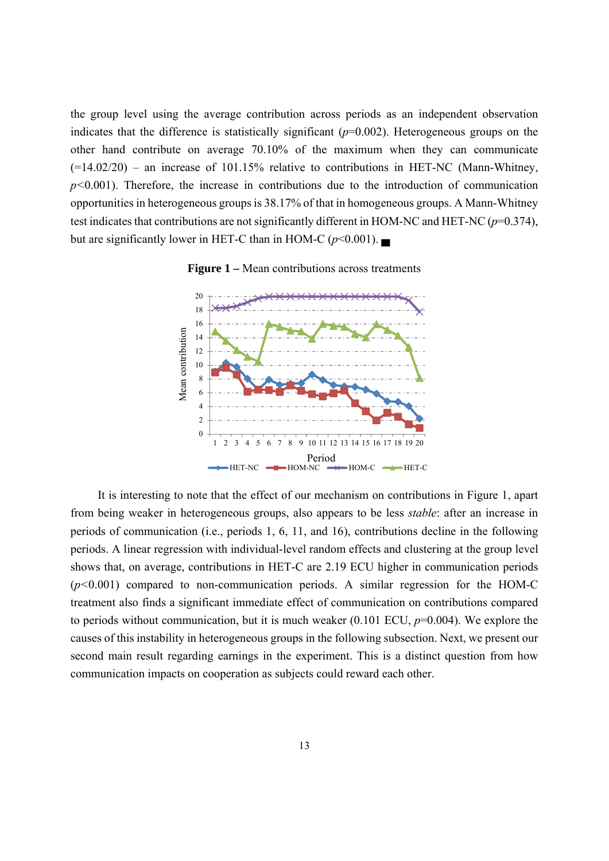the group level using the average contribution across periods as an independent observation indicates that the difference is statistically significant  $(p=0.002)$ . Heterogeneous groups on the other hand contribute on average 70.10% of the maximum when they can communicate  $(=14.02/20)$  – an increase of 101.15% relative to contributions in HET-NC (Mann-Whitney,  $p<0.001$ ). Therefore, the increase in contributions due to the introduction of communication opportunities in heterogeneous groups is 38.17% of that in homogeneous groups. A Mann-Whitney test indicates that contributions are not significantly different in HOM-NC and HET-NC (*p*=0.374), but are significantly lower in HET-C than in HOM-C  $(p<0.001)$ .





It is interesting to note that the effect of our mechanism on contributions in Figure 1, apart from being weaker in heterogeneous groups, also appears to be less *stable*: after an increase in periods of communication (i.e., periods 1, 6, 11, and 16), contributions decline in the following periods. A linear regression with individual-level random effects and clustering at the group level shows that, on average, contributions in HET-C are 2.19 ECU higher in communication periods (*p<*0.001) compared to non-communication periods. A similar regression for the HOM-C treatment also finds a significant immediate effect of communication on contributions compared to periods without communication, but it is much weaker (0.101 ECU, *p*=0.004). We explore the causes of this instability in heterogeneous groups in the following subsection. Next, we present our second main result regarding earnings in the experiment. This is a distinct question from how communication impacts on cooperation as subjects could reward each other.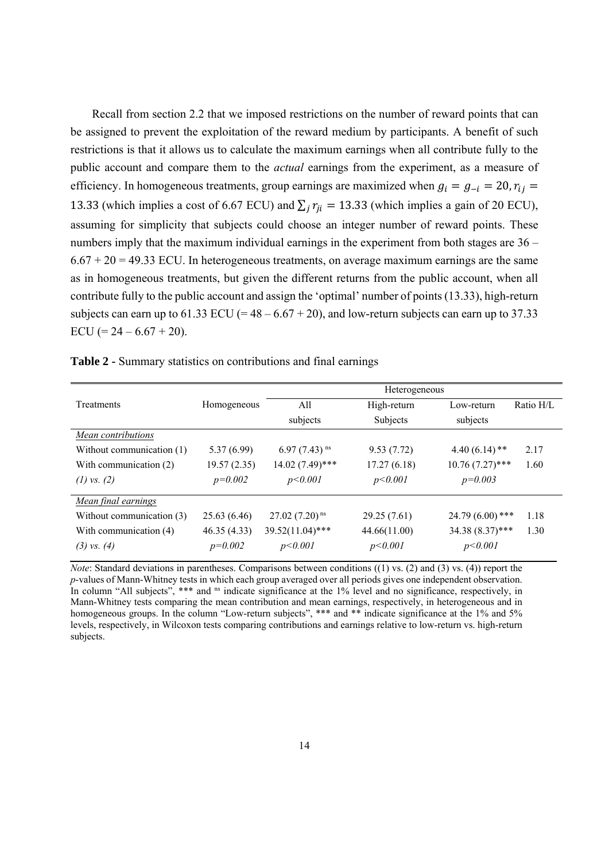Recall from section 2.2 that we imposed restrictions on the number of reward points that can be assigned to prevent the exploitation of the reward medium by participants. A benefit of such restrictions is that it allows us to calculate the maximum earnings when all contribute fully to the public account and compare them to the *actual* earnings from the experiment, as a measure of efficiency. In homogeneous treatments, group earnings are maximized when  $g_i = g_{-i} = 20$ ,  $r_{ij} =$ 13.33 (which implies a cost of 6.67 ECU) and  $\sum_i r_{ii} = 13.33$  (which implies a gain of 20 ECU), assuming for simplicity that subjects could choose an integer number of reward points. These numbers imply that the maximum individual earnings in the experiment from both stages are 36 –  $6.67 + 20 = 49.33$  ECU. In heterogeneous treatments, on average maximum earnings are the same as in homogeneous treatments, but given the different returns from the public account, when all contribute fully to the public account and assign the 'optimal' number of points (13.33), high-return subjects can earn up to 61.33 ECU (=  $48 - 6.67 + 20$ ), and low-return subjects can earn up to 37.33 ECU (=  $24 - 6.67 + 20$ ).

**Table 2 -** Summary statistics on contributions and final earnings

|                           |             | Heterogeneous               |              |                   |           |  |  |
|---------------------------|-------------|-----------------------------|--------------|-------------------|-----------|--|--|
| Treatments                | Homogeneous | All                         | High-return  | Low-return        | Ratio H/L |  |  |
|                           |             | subjects                    | Subjects     | subjects          |           |  |  |
| Mean contributions        |             |                             |              |                   |           |  |  |
| Without communication (1) | 5.37(6.99)  | $6.97(7.43)$ <sup>ns</sup>  | 9.53(7.72)   | 4.40 $(6.14)$ **  | 2.17      |  |  |
| With communication (2)    | 19.57(2.35) | $14.02(7.49)$ ***           | 17.27(6.18)  | $10.76(7.27)$ *** | 1.60      |  |  |
| $(1)$ vs. $(2)$           | $p=0.002$   | p<0.001                     | p<0.001      | $p=0.003$         |           |  |  |
| Mean final earnings       |             |                             |              |                   |           |  |  |
| Without communication (3) | 25.63(6.46) | $27.02(7.20)$ <sup>ns</sup> | 29.25(7.61)  | $24.79(6.00)$ *** | 1.18      |  |  |
| With communication (4)    | 46.35(4.33) | $39.52(11.04)$ ***          | 44.66(11.00) | 34.38 (8.37)***   | 1.30      |  |  |
| $(3)$ vs. $(4)$           | $p=0.002$   | p<0.001                     | p<0.001      | p<0.001           |           |  |  |

*Note*: Standard deviations in parentheses. Comparisons between conditions ((1) vs. (2) and (3) vs. (4)) report the *p*-values of Mann-Whitney tests in which each group averaged over all periods gives one independent observation. In column "All subjects", \*\*\* and <sup>ns</sup> indicate significance at the 1% level and no significance, respectively, in Mann-Whitney tests comparing the mean contribution and mean earnings, respectively, in heterogeneous and in homogeneous groups. In the column "Low-return subjects", \*\*\* and \*\* indicate significance at the 1% and 5% levels, respectively, in Wilcoxon tests comparing contributions and earnings relative to low-return vs. high-return subjects.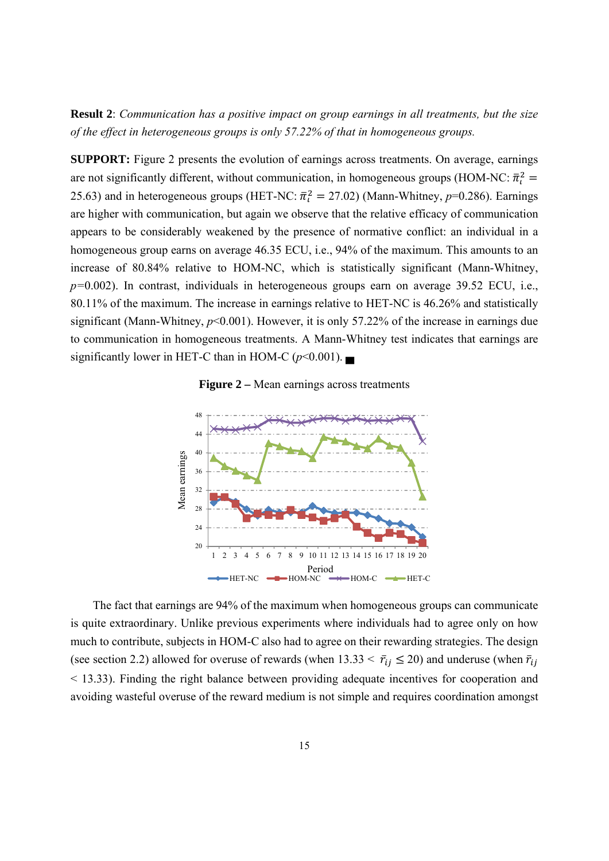**Result 2**: *Communication has a positive impact on group earnings in all treatments, but the size of the effect in heterogeneous groups is only 57.22% of that in homogeneous groups.*

**SUPPORT:** Figure 2 presents the evolution of earnings across treatments. On average, earnings are not significantly different, without communication, in homogeneous groups (HOM-NC:  $\bar{\pi}_i^2$  = 25.63) and in heterogeneous groups (HET-NC:  $\bar{\pi}_t^2 = 27.02$ ) (Mann-Whitney, *p*=0.286). Earnings are higher with communication, but again we observe that the relative efficacy of communication appears to be considerably weakened by the presence of normative conflict: an individual in a homogeneous group earns on average 46.35 ECU, i.e., 94% of the maximum. This amounts to an increase of 80.84% relative to HOM-NC, which is statistically significant (Mann-Whitney, *p=*0.002). In contrast, individuals in heterogeneous groups earn on average 39.52 ECU, i.e., 80.11% of the maximum. The increase in earnings relative to HET-NC is 46.26% and statistically significant (Mann-Whitney, *p*<0.001). However, it is only 57.22% of the increase in earnings due to communication in homogeneous treatments. A Mann-Whitney test indicates that earnings are significantly lower in HET-C than in HOM-C ( $p$ <0.001).





The fact that earnings are 94% of the maximum when homogeneous groups can communicate is quite extraordinary. Unlike previous experiments where individuals had to agree only on how much to contribute, subjects in HOM-C also had to agree on their rewarding strategies. The design (see section 2.2) allowed for overuse of rewards (when  $13.33 < \bar{r}_{ij} \le 20$ ) and underuse (when  $\bar{r}_{ij}$ < 13.33). Finding the right balance between providing adequate incentives for cooperation and avoiding wasteful overuse of the reward medium is not simple and requires coordination amongst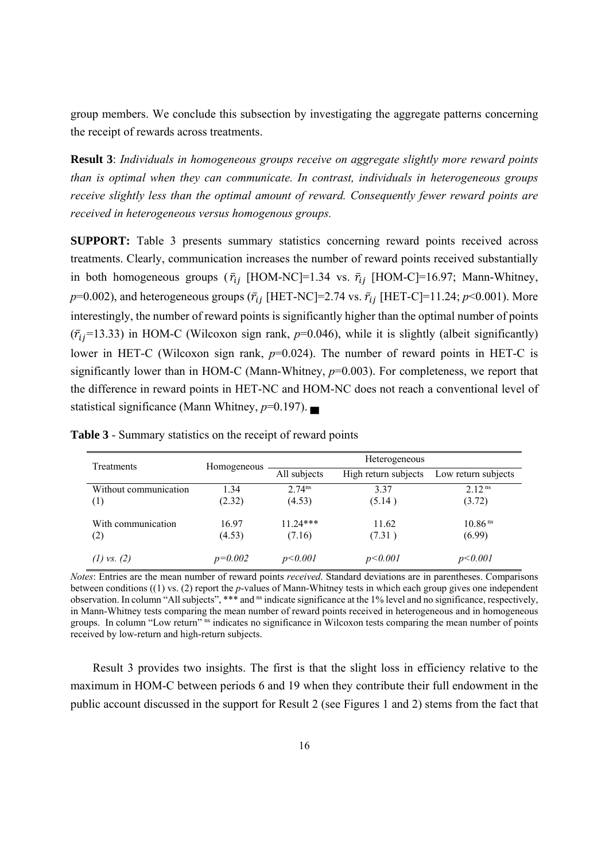group members. We conclude this subsection by investigating the aggregate patterns concerning the receipt of rewards across treatments.

**Result 3**: *Individuals in homogeneous groups receive on aggregate slightly more reward points than is optimal when they can communicate. In contrast, individuals in heterogeneous groups receive slightly less than the optimal amount of reward. Consequently fewer reward points are received in heterogeneous versus homogenous groups.* 

**SUPPORT:** Table 3 presents summary statistics concerning reward points received across treatments. Clearly, communication increases the number of reward points received substantially in both homogeneous groups  $(\bar{r}_{ij}$  [HOM-NC]=1.34 vs.  $\bar{r}_{ij}$  [HOM-C]=16.97; Mann-Whitney,  $p=0.002$ ), and heterogeneous groups ( $\bar{r}_{ij}$  [HET-NC]=2.74 vs.  $\bar{r}_{ij}$  [HET-C]=11.24;  $p<0.001$ ). More interestingly, the number of reward points is significantly higher than the optimal number of points  $(\bar{r}_{ij}=13.33)$  in HOM-C (Wilcoxon sign rank,  $p=0.046$ ), while it is slightly (albeit significantly) lower in HET-C (Wilcoxon sign rank,  $p=0.024$ ). The number of reward points in HET-C is significantly lower than in HOM-C (Mann-Whitney,  $p=0.003$ ). For completeness, we report that the difference in reward points in HET-NC and HOM-NC does not reach a conventional level of statistical significance (Mann Whitney, *p*=0.197). ▄

| Treatments            | Homogeneous | <b>Heterogeneous</b> |                      |                     |  |  |  |
|-----------------------|-------------|----------------------|----------------------|---------------------|--|--|--|
|                       |             | All subjects         | High return subjects | Low return subjects |  |  |  |
| Without communication | 1.34        | $2.74$ <sup>ns</sup> | 3.37                 | 2.12 <sup>ns</sup>  |  |  |  |
| $\left(1\right)$      | (2.32)      | (4.53)               | (5.14)               | (3.72)              |  |  |  |
| With communication    | 16.97       | $11.24***$           | 11.62                | 10.86 <sup>ns</sup> |  |  |  |
| $\left( 2\right)$     | (4.53)      | (7.16)               | (7.31)               | (6.99)              |  |  |  |
| $(1)$ vs. $(2)$       | $p=0.002$   | p<0.001              | p<0.001              | p<0.001             |  |  |  |

**Table 3** - Summary statistics on the receipt of reward points

*Notes*: Entries are the mean number of reward points *received*. Standard deviations are in parentheses. Comparisons between conditions ((1) vs. (2) report the *p*-values of Mann-Whitney tests in which each group gives one independent observation. In column "All subjects", \*\*\* and ns indicate significance at the 1% level and no significance, respectively, in Mann-Whitney tests comparing the mean number of reward points received in heterogeneous and in homogeneous groups. In column "Low return" ns indicates no significance in Wilcoxon tests comparing the mean number of points received by low-return and high-return subjects.

Result 3 provides two insights. The first is that the slight loss in efficiency relative to the maximum in HOM-C between periods 6 and 19 when they contribute their full endowment in the public account discussed in the support for Result 2 (see Figures 1 and 2) stems from the fact that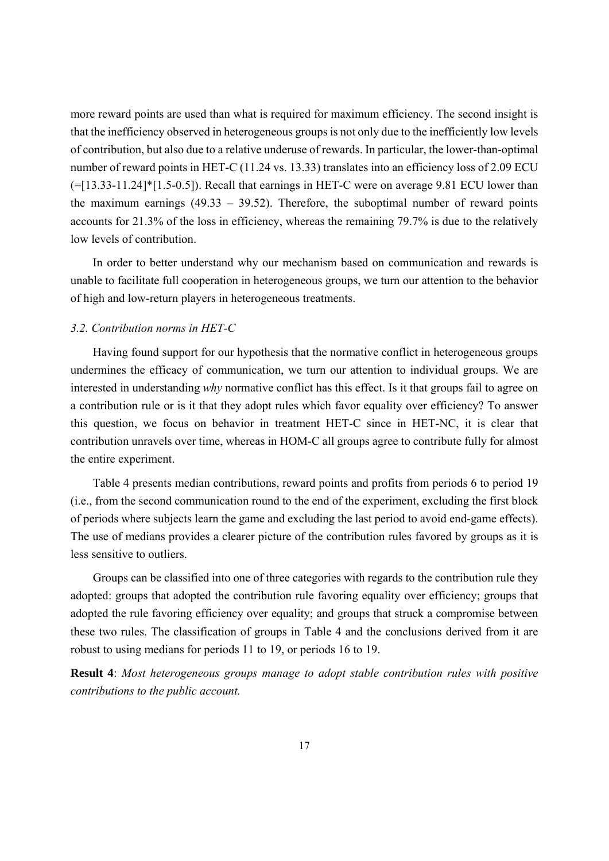more reward points are used than what is required for maximum efficiency. The second insight is that the inefficiency observed in heterogeneous groups is not only due to the inefficiently low levels of contribution, but also due to a relative underuse of rewards. In particular, the lower-than-optimal number of reward points in HET-C (11.24 vs. 13.33) translates into an efficiency loss of 2.09 ECU  $(=[13.33-11.24]*[1.5-0.5])$ . Recall that earnings in HET-C were on average 9.81 ECU lower than the maximum earnings  $(49.33 - 39.52)$ . Therefore, the suboptimal number of reward points accounts for 21.3% of the loss in efficiency, whereas the remaining 79.7% is due to the relatively low levels of contribution.

In order to better understand why our mechanism based on communication and rewards is unable to facilitate full cooperation in heterogeneous groups, we turn our attention to the behavior of high and low-return players in heterogeneous treatments.

## *3.2. Contribution norms in HET-C*

Having found support for our hypothesis that the normative conflict in heterogeneous groups undermines the efficacy of communication, we turn our attention to individual groups. We are interested in understanding *why* normative conflict has this effect. Is it that groups fail to agree on a contribution rule or is it that they adopt rules which favor equality over efficiency? To answer this question, we focus on behavior in treatment HET-C since in HET-NC, it is clear that contribution unravels over time, whereas in HOM-C all groups agree to contribute fully for almost the entire experiment.

Table 4 presents median contributions, reward points and profits from periods 6 to period 19 (i.e., from the second communication round to the end of the experiment, excluding the first block of periods where subjects learn the game and excluding the last period to avoid end-game effects). The use of medians provides a clearer picture of the contribution rules favored by groups as it is less sensitive to outliers.

Groups can be classified into one of three categories with regards to the contribution rule they adopted: groups that adopted the contribution rule favoring equality over efficiency; groups that adopted the rule favoring efficiency over equality; and groups that struck a compromise between these two rules. The classification of groups in Table 4 and the conclusions derived from it are robust to using medians for periods 11 to 19, or periods 16 to 19.

**Result 4**: *Most heterogeneous groups manage to adopt stable contribution rules with positive contributions to the public account.*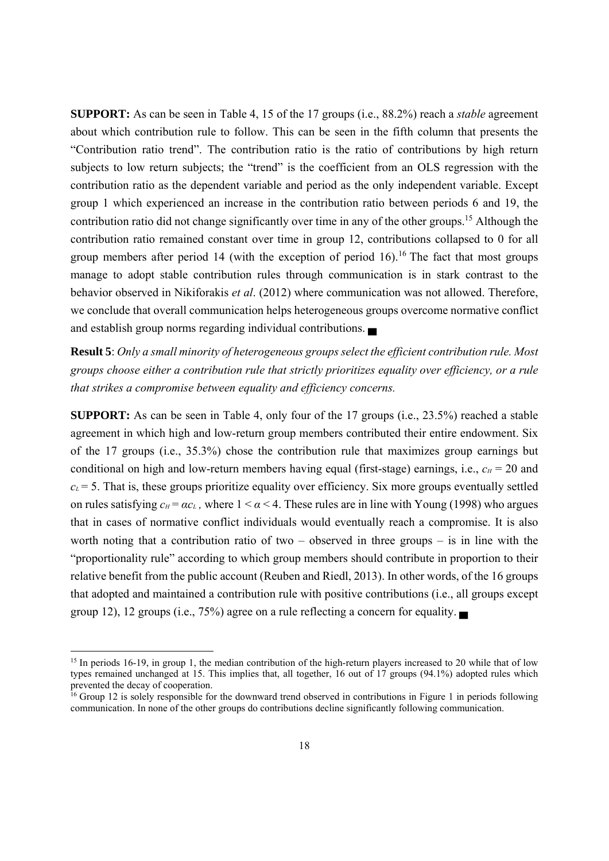**SUPPORT:** As can be seen in Table 4, 15 of the 17 groups (i.e., 88.2%) reach a *stable* agreement about which contribution rule to follow. This can be seen in the fifth column that presents the "Contribution ratio trend". The contribution ratio is the ratio of contributions by high return subjects to low return subjects; the "trend" is the coefficient from an OLS regression with the contribution ratio as the dependent variable and period as the only independent variable. Except group 1 which experienced an increase in the contribution ratio between periods 6 and 19, the contribution ratio did not change significantly over time in any of the other groups.<sup>15</sup> Although the contribution ratio remained constant over time in group 12, contributions collapsed to 0 for all group members after period 14 (with the exception of period  $16$ ).<sup>16</sup> The fact that most groups manage to adopt stable contribution rules through communication is in stark contrast to the behavior observed in Nikiforakis *et al*. (2012) where communication was not allowed. Therefore, we conclude that overall communication helps heterogeneous groups overcome normative conflict and establish group norms regarding individual contributions. ▄

**Result 5**: *Only a small minority of heterogeneous groups select the efficient contribution rule. Most groups choose either a contribution rule that strictly prioritizes equality over efficiency, or a rule that strikes a compromise between equality and efficiency concerns.* 

**SUPPORT:** As can be seen in Table 4, only four of the 17 groups (i.e., 23.5%) reached a stable agreement in which high and low-return group members contributed their entire endowment. Six of the 17 groups (i.e., 35.3%) chose the contribution rule that maximizes group earnings but conditional on high and low-return members having equal (first-stage) earnings, i.e.,  $c_H = 20$  and  $c_l$  = 5. That is, these groups prioritize equality over efficiency. Six more groups eventually settled on rules satisfying  $c_H = \alpha c_L$ , where  $1 \le \alpha \le 4$ . These rules are in line with Young (1998) who argues that in cases of normative conflict individuals would eventually reach a compromise. It is also worth noting that a contribution ratio of two – observed in three groups – is in line with the "proportionality rule" according to which group members should contribute in proportion to their relative benefit from the public account (Reuben and Riedl, 2013). In other words, of the 16 groups that adopted and maintained a contribution rule with positive contributions (i.e., all groups except group 12), 12 groups (i.e., 75%) agree on a rule reflecting a concern for equality. ▄

<sup>&</sup>lt;sup>15</sup> In periods 16-19, in group 1, the median contribution of the high-return players increased to 20 while that of low types remained unchanged at 15. This implies that, all together, 16 out of 17 groups (94.1%) adopted rules which prevented the decay of cooperation.

<sup>&</sup>lt;sup>16</sup> Group 12 is solely responsible for the downward trend observed in contributions in Figure 1 in periods following communication. In none of the other groups do contributions decline significantly following communication.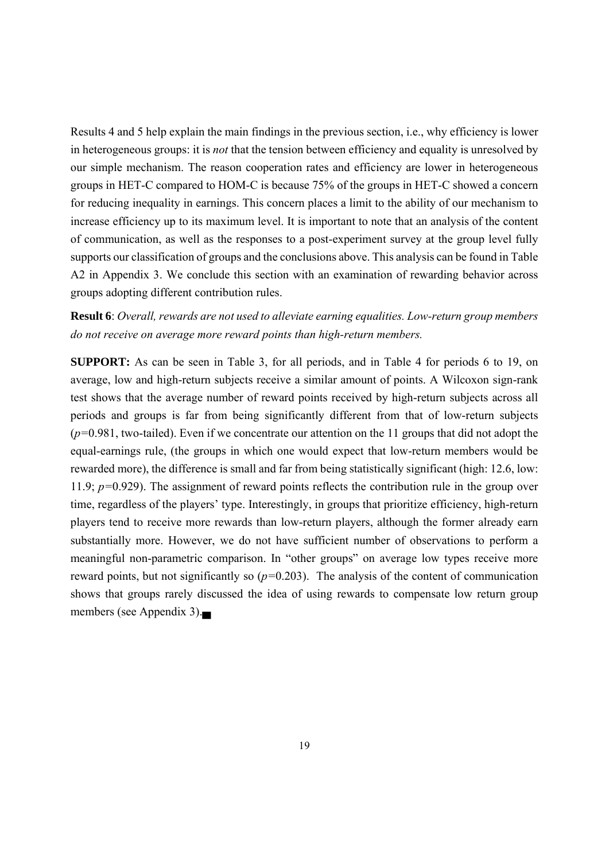Results 4 and 5 help explain the main findings in the previous section, i.e., why efficiency is lower in heterogeneous groups: it is *not* that the tension between efficiency and equality is unresolved by our simple mechanism. The reason cooperation rates and efficiency are lower in heterogeneous groups in HET-C compared to HOM-C is because 75% of the groups in HET-C showed a concern for reducing inequality in earnings. This concern places a limit to the ability of our mechanism to increase efficiency up to its maximum level. It is important to note that an analysis of the content of communication, as well as the responses to a post-experiment survey at the group level fully supports our classification of groups and the conclusions above. This analysis can be found in Table A2 in Appendix 3. We conclude this section with an examination of rewarding behavior across groups adopting different contribution rules.

**Result 6**: *Overall, rewards are not used to alleviate earning equalities. Low-return group members do not receive on average more reward points than high-return members.* 

**SUPPORT:** As can be seen in Table 3, for all periods, and in Table 4 for periods 6 to 19, on average, low and high-return subjects receive a similar amount of points. A Wilcoxon sign-rank test shows that the average number of reward points received by high-return subjects across all periods and groups is far from being significantly different from that of low-return subjects (*p=*0.981, two-tailed). Even if we concentrate our attention on the 11 groups that did not adopt the equal-earnings rule, (the groups in which one would expect that low-return members would be rewarded more), the difference is small and far from being statistically significant (high: 12.6, low: 11.9; *p=*0.929). The assignment of reward points reflects the contribution rule in the group over time, regardless of the players' type. Interestingly, in groups that prioritize efficiency, high-return players tend to receive more rewards than low-return players, although the former already earn substantially more. However, we do not have sufficient number of observations to perform a meaningful non-parametric comparison. In "other groups" on average low types receive more reward points, but not significantly so (*p=*0.203). The analysis of the content of communication shows that groups rarely discussed the idea of using rewards to compensate low return group members (see Appendix 3).▄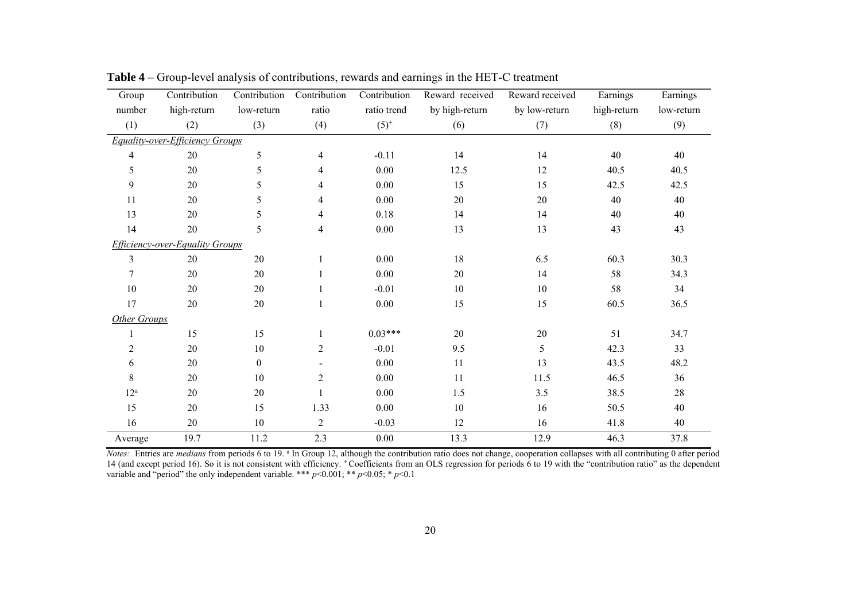| Group           | Contribution                           | Contribution   | Contribution   | Contribution | Reward received | Reward received | Earnings    | Earnings   |
|-----------------|----------------------------------------|----------------|----------------|--------------|-----------------|-----------------|-------------|------------|
| number          | high-return                            | low-return     | ratio          | ratio trend  | by high-return  | by low-return   | high-return | low-return |
| (1)             | (2)                                    | (3)            | (4)            | $(5)^{+}$    | (6)             | (7)             | (8)         | (9)        |
|                 | <b>Equality-over-Efficiency Groups</b> |                |                |              |                 |                 |             |            |
| 4               | 20                                     | 5              | $\overline{4}$ | $-0.11$      | 14              | 14              | 40          | 40         |
| 5               | 20                                     | 5              | 4              | $0.00\,$     | 12.5            | 12              | 40.5        | 40.5       |
| 9               | 20                                     | 5              | 4              | 0.00         | 15              | 15              | 42.5        | 42.5       |
| 11              | 20                                     | 5              | 4              | 0.00         | 20              | 20              | 40          | 40         |
| 13              | 20                                     | 5              | 4              | 0.18         | 14              | 14              | 40          | 40         |
| 14              | 20                                     | 5              | 4              | 0.00         | 13              | 13              | 43          | 43         |
|                 | <b>Efficiency-over-Equality Groups</b> |                |                |              |                 |                 |             |            |
| 3               | 20                                     | 20             | $\mathbf{1}$   | 0.00         | 18              | 6.5             | 60.3        | 30.3       |
| 7               | 20                                     | 20             | 1              | 0.00         | 20              | 14              | 58          | 34.3       |
| 10              | 20                                     | 20             | 1              | $-0.01$      | 10              | 10              | 58          | 34         |
| 17              | 20                                     | 20             | 1              | $0.00\,$     | 15              | 15              | 60.5        | 36.5       |
| Other Groups    |                                        |                |                |              |                 |                 |             |            |
| 1               | 15                                     | 15             | 1              | $0.03***$    | 20              | 20              | 51          | 34.7       |
| $\overline{c}$  | 20                                     | 10             | $\overline{2}$ | $-0.01$      | 9.5             | 5               | 42.3        | 33         |
| 6               | 20                                     | $\overline{0}$ |                | $0.00\,$     | 11              | 13              | 43.5        | 48.2       |
| 8               | 20                                     | 10             | $\overline{c}$ | 0.00         | 11              | 11.5            | 46.5        | 36         |
| 12 <sup>a</sup> | 20                                     | 20             |                | 0.00         | 1.5             | 3.5             | 38.5        | 28         |
| 15              | 20                                     | 15             | 1.33           | 0.00         | 10              | 16              | 50.5        | 40         |
| 16              | 20                                     | 10             | $\overline{c}$ | $-0.03$      | 12              | 16              | 41.8        | 40         |
| Average         | 19.7                                   | 11.2           | 2.3            | 0.00         | 13.3            | 12.9            | 46.3        | 37.8       |

**Table 4** – Group-level analysis of contributions, rewards and earnings in the HET-C treatment

*Notes:* Entries are *medians* from periods 6 to 19.<sup>ª</sup> In Group 12, although the contribution ratio does not change, cooperation collapses with all contributing 0 after period 14 (and except period 16). So it is not consistent with efficiency. **+** Coefficients from an OLS regression for periods 6 to 19 with the "contribution ratio" as the dependent variable and "period" the only independent variable. \*\*\*  $p<0.001$ ; \*\*  $p<0.05$ ; \*  $p<0.1$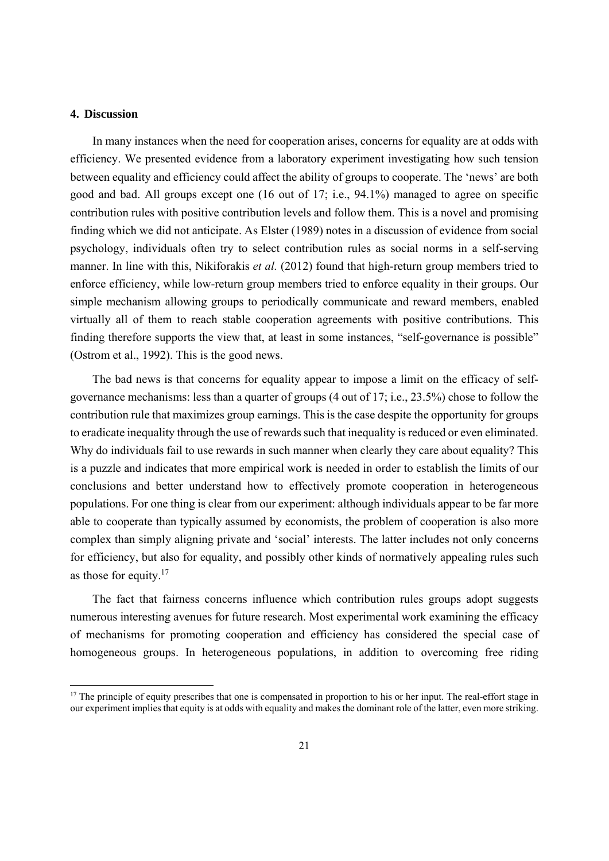### **4. Discussion**

In many instances when the need for cooperation arises, concerns for equality are at odds with efficiency. We presented evidence from a laboratory experiment investigating how such tension between equality and efficiency could affect the ability of groups to cooperate. The 'news' are both good and bad. All groups except one (16 out of 17; i.e., 94.1%) managed to agree on specific contribution rules with positive contribution levels and follow them. This is a novel and promising finding which we did not anticipate. As Elster (1989) notes in a discussion of evidence from social psychology, individuals often try to select contribution rules as social norms in a self-serving manner. In line with this, Nikiforakis *et al.* (2012) found that high-return group members tried to enforce efficiency, while low-return group members tried to enforce equality in their groups. Our simple mechanism allowing groups to periodically communicate and reward members, enabled virtually all of them to reach stable cooperation agreements with positive contributions. This finding therefore supports the view that, at least in some instances, "self-governance is possible" (Ostrom et al., 1992). This is the good news.

The bad news is that concerns for equality appear to impose a limit on the efficacy of selfgovernance mechanisms: less than a quarter of groups (4 out of 17; i.e., 23.5%) chose to follow the contribution rule that maximizes group earnings. This is the case despite the opportunity for groups to eradicate inequality through the use of rewards such that inequality is reduced or even eliminated. Why do individuals fail to use rewards in such manner when clearly they care about equality? This is a puzzle and indicates that more empirical work is needed in order to establish the limits of our conclusions and better understand how to effectively promote cooperation in heterogeneous populations. For one thing is clear from our experiment: although individuals appear to be far more able to cooperate than typically assumed by economists, the problem of cooperation is also more complex than simply aligning private and 'social' interests. The latter includes not only concerns for efficiency, but also for equality, and possibly other kinds of normatively appealing rules such as those for equity. $17$ 

The fact that fairness concerns influence which contribution rules groups adopt suggests numerous interesting avenues for future research. Most experimental work examining the efficacy of mechanisms for promoting cooperation and efficiency has considered the special case of homogeneous groups. In heterogeneous populations, in addition to overcoming free riding

 $17$  The principle of equity prescribes that one is compensated in proportion to his or her input. The real-effort stage in our experiment implies that equity is at odds with equality and makes the dominant role of the latter, even more striking.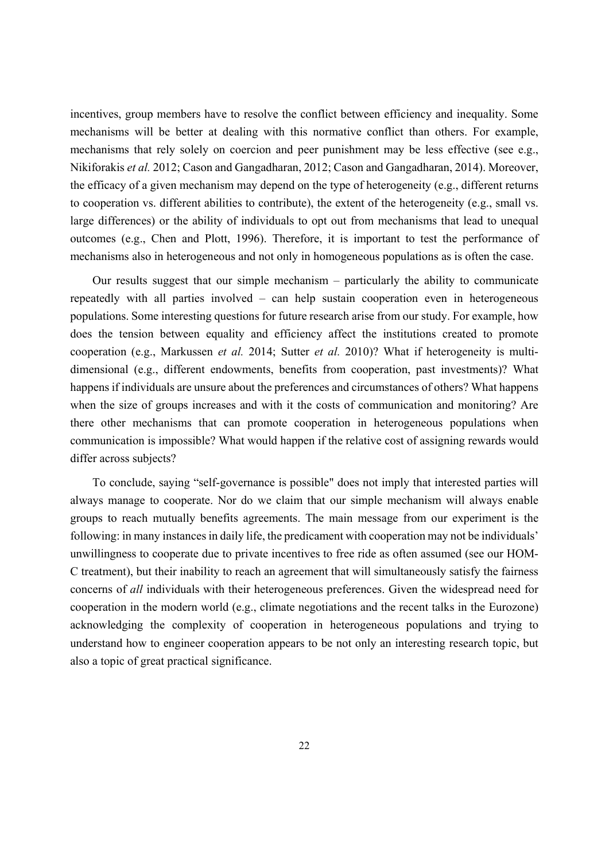incentives, group members have to resolve the conflict between efficiency and inequality. Some mechanisms will be better at dealing with this normative conflict than others. For example, mechanisms that rely solely on coercion and peer punishment may be less effective (see e.g., Nikiforakis *et al.* 2012; Cason and Gangadharan, 2012; Cason and Gangadharan, 2014). Moreover, the efficacy of a given mechanism may depend on the type of heterogeneity (e.g., different returns to cooperation vs. different abilities to contribute), the extent of the heterogeneity (e.g., small vs. large differences) or the ability of individuals to opt out from mechanisms that lead to unequal outcomes (e.g., Chen and Plott, 1996). Therefore, it is important to test the performance of mechanisms also in heterogeneous and not only in homogeneous populations as is often the case.

Our results suggest that our simple mechanism – particularly the ability to communicate repeatedly with all parties involved – can help sustain cooperation even in heterogeneous populations. Some interesting questions for future research arise from our study. For example, how does the tension between equality and efficiency affect the institutions created to promote cooperation (e.g., Markussen *et al.* 2014; Sutter *et al.* 2010)? What if heterogeneity is multidimensional (e.g., different endowments, benefits from cooperation, past investments)? What happens if individuals are unsure about the preferences and circumstances of others? What happens when the size of groups increases and with it the costs of communication and monitoring? Are there other mechanisms that can promote cooperation in heterogeneous populations when communication is impossible? What would happen if the relative cost of assigning rewards would differ across subjects?

To conclude, saying "self-governance is possible" does not imply that interested parties will always manage to cooperate. Nor do we claim that our simple mechanism will always enable groups to reach mutually benefits agreements. The main message from our experiment is the following: in many instances in daily life, the predicament with cooperation may not be individuals' unwillingness to cooperate due to private incentives to free ride as often assumed (see our HOM-C treatment), but their inability to reach an agreement that will simultaneously satisfy the fairness concerns of *all* individuals with their heterogeneous preferences. Given the widespread need for cooperation in the modern world (e.g., climate negotiations and the recent talks in the Eurozone) acknowledging the complexity of cooperation in heterogeneous populations and trying to understand how to engineer cooperation appears to be not only an interesting research topic, but also a topic of great practical significance.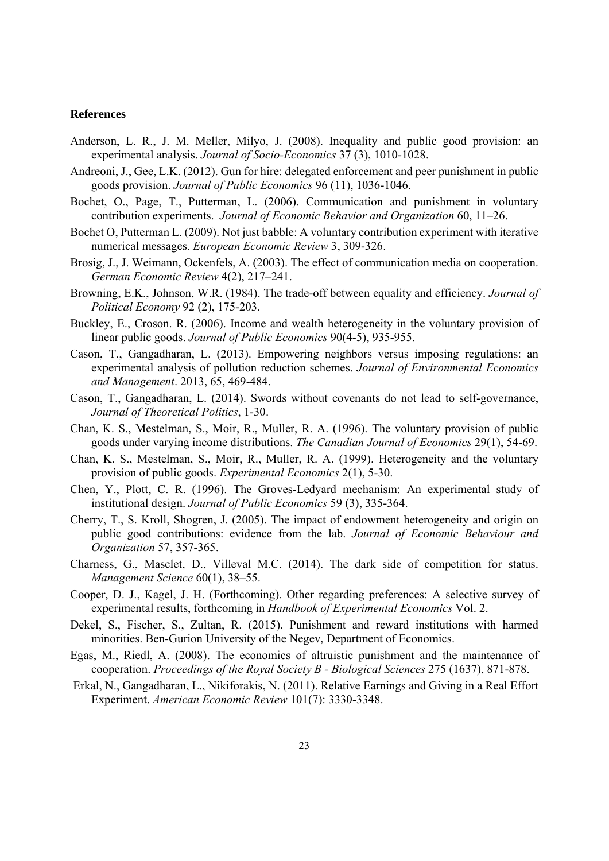#### **References**

- Anderson, L. R., J. M. Meller, Milyo, J. (2008). Inequality and public good provision: an experimental analysis. *Journal of Socio-Economics* 37 (3), 1010-1028.
- Andreoni, J., Gee, L.K. (2012). Gun for hire: delegated enforcement and peer punishment in public goods provision. *Journal of Public Economics* 96 (11), 1036-1046.
- Bochet, O., Page, T., Putterman, L. (2006). Communication and punishment in voluntary contribution experiments. *Journal of Economic Behavior and Organization* 60, 11–26.
- Bochet O, Putterman L. (2009). Not just babble: A voluntary contribution experiment with iterative numerical messages. *European Economic Review* 3, 309-326.
- Brosig, J., J. Weimann, Ockenfels, A. (2003). The effect of communication media on cooperation. *German Economic Review* 4(2), 217–241.
- Browning, E.K., Johnson, W.R. (1984). The trade-off between equality and efficiency. *Journal of Political Economy* 92 (2), 175-203.
- Buckley, E., Croson, R. (2006). Income and wealth heterogeneity in the voluntary provision of linear public goods. *Journal of Public Economics* 90(4-5), 935-955.
- Cason, T., Gangadharan, L. (2013). Empowering neighbors versus imposing regulations: an experimental analysis of pollution reduction schemes. *Journal of Environmental Economics and Management*. 2013, 65, 469-484.
- Cason, T., Gangadharan, L. (2014). Swords without covenants do not lead to self-governance, *Journal of Theoretical Politics*, 1-30.
- Chan, K. S., Mestelman, S., Moir, R., Muller, R. A. (1996). The voluntary provision of public goods under varying income distributions. *The Canadian Journal of Economics* 29(1), 54-69.
- Chan, K. S., Mestelman, S., Moir, R., Muller, R. A. (1999). Heterogeneity and the voluntary provision of public goods. *Experimental Economics* 2(1), 5-30.
- Chen, Y., Plott, C. R. (1996). The Groves-Ledyard mechanism: An experimental study of institutional design. *Journal of Public Economics* 59 (3), 335-364.
- Cherry, T., S. Kroll, Shogren, J. (2005). The impact of endowment heterogeneity and origin on public good contributions: evidence from the lab. *Journal of Economic Behaviour and Organization* 57, 357-365.
- Charness, G., Masclet, D., Villeval M.C. (2014). The dark side of competition for status. *Management Science* 60(1), 38–55.
- Cooper, D. J., Kagel, J. H. (Forthcoming). Other regarding preferences: A selective survey of experimental results, forthcoming in *Handbook of Experimental Economics* Vol. 2.
- Dekel, S., Fischer, S., Zultan, R. (2015). Punishment and reward institutions with harmed minorities. Ben-Gurion University of the Negev, Department of Economics.
- Egas, M., Riedl, A. (2008). The economics of altruistic punishment and the maintenance of cooperation. *Proceedings of the Royal Society B - Biological Sciences* 275 (1637), 871-878.
- Erkal, N., Gangadharan, L., Nikiforakis, N. (2011). Relative Earnings and Giving in a Real Effort Experiment. *American Economic Review* 101(7): 3330-3348.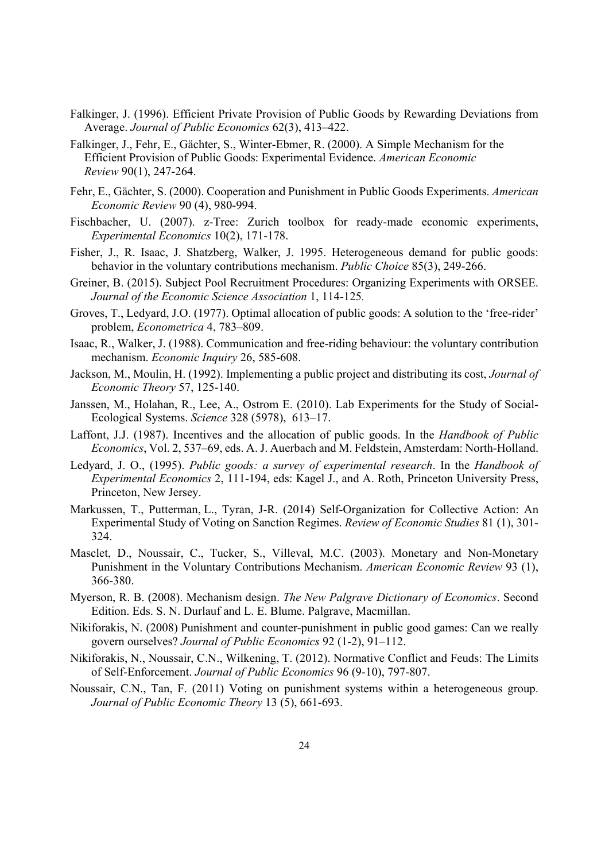- Falkinger, J. (1996). Efficient Private Provision of Public Goods by Rewarding Deviations from Average. *Journal of Public Economics* 62(3), 413–422.
- Falkinger, J., Fehr, E., Gächter, S., Winter-Ebmer, R. (2000). A Simple Mechanism for the Efficient Provision of Public Goods: Experimental Evidence. *American Economic Review* 90(1), 247-264.
- Fehr, E., Gächter, S. (2000). Cooperation and Punishment in Public Goods Experiments. *American Economic Review* 90 (4), 980-994.
- Fischbacher, U. (2007). z-Tree: Zurich toolbox for ready-made economic experiments, *Experimental Economics* 10(2), 171-178.
- Fisher, J., R. Isaac, J. Shatzberg, Walker, J. 1995. Heterogeneous demand for public goods: behavior in the voluntary contributions mechanism. *Public Choice* 85(3), 249-266.
- Greiner, B. (2015). Subject Pool Recruitment Procedures: Organizing Experiments with ORSEE. *Journal of the Economic Science Association* 1, 114-125*.*
- Groves, T., Ledyard, J.O. (1977). Optimal allocation of public goods: A solution to the 'free-rider' problem, *Econometrica* 4, 783–809.
- Isaac, R., Walker, J. (1988). Communication and free-riding behaviour: the voluntary contribution mechanism. *Economic Inquiry* 26, 585-608.
- Jackson, M., Moulin, H. (1992). Implementing a public project and distributing its cost, *Journal of Economic Theory* 57, 125-140.
- Janssen, M., Holahan, R., Lee, A., Ostrom E. (2010). Lab Experiments for the Study of Social-Ecological Systems. *Science* 328 (5978), 613–17.
- Laffont, J.J. (1987). Incentives and the allocation of public goods. In the *Handbook of Public Economics*, Vol. 2, 537–69, eds. A. J. Auerbach and M. Feldstein, Amsterdam: North-Holland.
- Ledyard, J. O., (1995). *Public goods: a survey of experimental research*. In the *Handbook of Experimental Economics* 2, 111-194, eds: Kagel J., and A. Roth, Princeton University Press, Princeton, New Jersey.
- Markussen, T., Putterman, L., Tyran, J-R. (2014) Self-Organization for Collective Action: An Experimental Study of Voting on Sanction Regimes. *Review of Economic Studies* 81 (1), 301- 324.
- Masclet, D., Noussair, C., Tucker, S., Villeval, M.C. (2003). Monetary and Non-Monetary Punishment in the Voluntary Contributions Mechanism. *American Economic Review* 93 (1), 366-380.
- Myerson, R. B. (2008). Mechanism design. *The New Palgrave Dictionary of Economics*. Second Edition. Eds. S. N. Durlauf and L. E. Blume. Palgrave, Macmillan.
- Nikiforakis, N. (2008) Punishment and counter-punishment in public good games: Can we really govern ourselves? *Journal of Public Economics* 92 (1-2), 91–112.
- Nikiforakis, N., Noussair, C.N., Wilkening, T. (2012). Normative Conflict and Feuds: The Limits of Self-Enforcement. *Journal of Public Economics* 96 (9-10), 797-807.
- Noussair, C.N., Tan, F. (2011) Voting on punishment systems within a heterogeneous group. *Journal of Public Economic Theory* 13 (5), 661-693.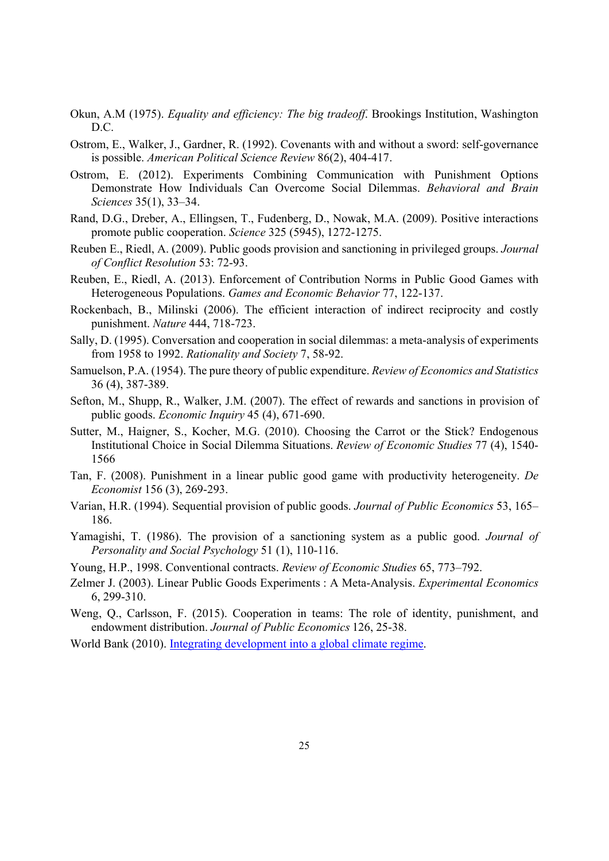- Okun, A.M (1975). *Equality and efficiency: The big tradeoff*. Brookings Institution, Washington D.C.
- Ostrom, E., Walker, J., Gardner, R. (1992). Covenants with and without a sword: self-governance is possible. *American Political Science Review* 86(2), 404-417.
- Ostrom, E. (2012). Experiments Combining Communication with Punishment Options Demonstrate How Individuals Can Overcome Social Dilemmas. *Behavioral and Brain Sciences* 35(1), 33–34.
- Rand, D.G., Dreber, A., Ellingsen, T., Fudenberg, D., Nowak, M.A. (2009). Positive interactions promote public cooperation. *Science* 325 (5945), 1272-1275.
- Reuben E., Riedl, A. (2009). Public goods provision and sanctioning in privileged groups. *Journal of Conflict Resolution* 53: 72-93.
- Reuben, E., Riedl, A. (2013). Enforcement of Contribution Norms in Public Good Games with Heterogeneous Populations. *Games and Economic Behavior* 77, 122-137.
- Rockenbach, B., Milinski (2006). The efficient interaction of indirect reciprocity and costly punishment. *Nature* 444, 718-723.
- Sally, D. (1995). Conversation and cooperation in social dilemmas: a meta-analysis of experiments from 1958 to 1992. *Rationality and Society* 7, 58-92.
- Samuelson, P.A. (1954). The pure theory of public expenditure. *Review of Economics and Statistics* 36 (4), 387-389.
- Sefton, M., Shupp, R., Walker, J.M. (2007). The effect of rewards and sanctions in provision of public goods. *Economic Inquiry* 45 (4), 671-690.
- Sutter, M., Haigner, S., Kocher, M.G. (2010). Choosing the Carrot or the Stick? Endogenous Institutional Choice in Social Dilemma Situations. *Review of Economic Studies* 77 (4), 1540- 1566
- Tan, F. (2008). Punishment in a linear public good game with productivity heterogeneity. *De Economist* 156 (3), 269-293.
- Varian, H.R. (1994). Sequential provision of public goods. *Journal of Public Economics* 53, 165– 186.
- Yamagishi, T. (1986). The provision of a sanctioning system as a public good. *Journal of Personality and Social Psychology* 51 (1), 110-116.
- Young, H.P., 1998. Conventional contracts. *Review of Economic Studies* 65, 773–792.
- Zelmer J. (2003). Linear Public Goods Experiments : A Meta-Analysis. *Experimental Economics* 6, 299-310.
- Weng, Q., Carlsson, F. (2015). Cooperation in teams: The role of identity, punishment, and endowment distribution. *Journal of Public Economics* 126, 25-38.
- World Bank (2010). Integrating development into a global climate regime.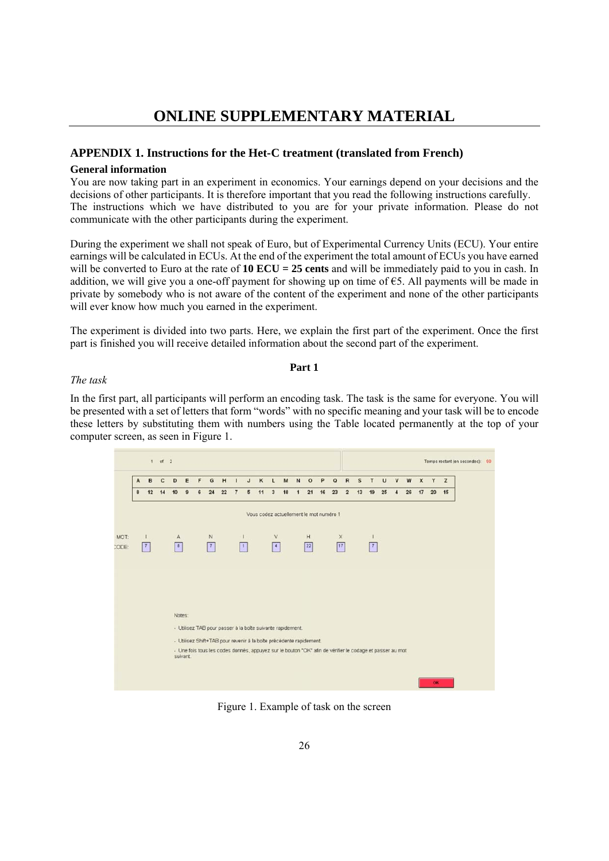# **APPENDIX 1. Instructions for the Het-C treatment (translated from French)**

#### **General information**

You are now taking part in an experiment in economics. Your earnings depend on your decisions and the decisions of other participants. It is therefore important that you read the following instructions carefully. The instructions which we have distributed to you are for your private information. Please do not communicate with the other participants during the experiment.

During the experiment we shall not speak of Euro, but of Experimental Currency Units (ECU). Your entire earnings will be calculated in ECUs. At the end of the experiment the total amount of ECUs you have earned will be converted to Euro at the rate of **10 ECU** = 25 cents and will be immediately paid to you in cash. In addition, we will give you a one-off payment for showing up on time of  $\epsilon$ 5. All payments will be made in private by somebody who is not aware of the content of the experiment and none of the other participants will ever know how much you earned in the experiment.

The experiment is divided into two parts. Here, we explain the first part of the experiment. Once the first part is finished you will receive detailed information about the second part of the experiment.

#### **Part 1**

#### *The task*

In the first part, all participants will perform an encoding task. The task is the same for everyone. You will be presented with a set of letters that form "words" with no specific meaning and your task will be to encode these letters by substituting them with numbers using the Table located permanently at the top of your computer screen, as seen in Figure 1.



Figure 1. Example of task on the screen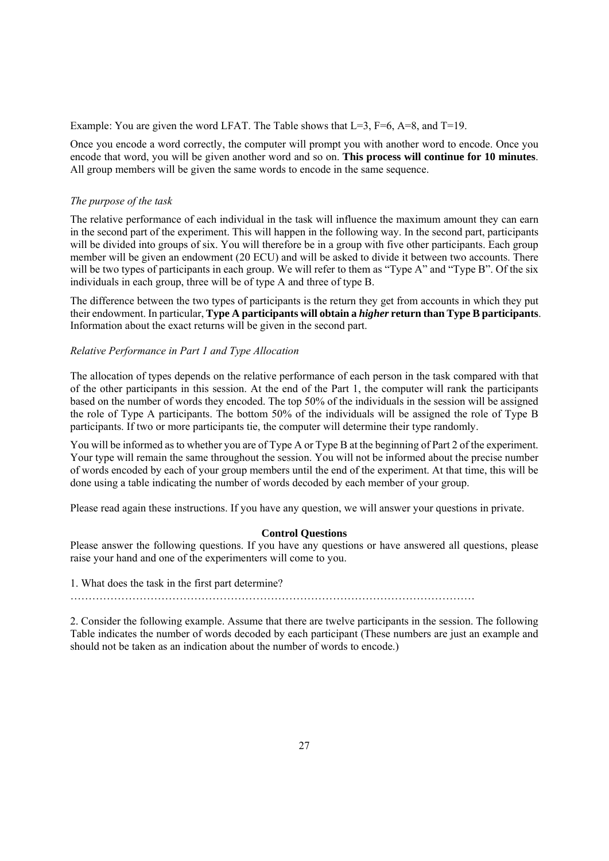Example: You are given the word LFAT. The Table shows that  $L=3$ ,  $F=6$ ,  $A=8$ , and  $T=19$ .

Once you encode a word correctly, the computer will prompt you with another word to encode. Once you encode that word, you will be given another word and so on. **This process will continue for 10 minutes**. All group members will be given the same words to encode in the same sequence.

#### *The purpose of the task*

The relative performance of each individual in the task will influence the maximum amount they can earn in the second part of the experiment. This will happen in the following way. In the second part, participants will be divided into groups of six. You will therefore be in a group with five other participants. Each group member will be given an endowment (20 ECU) and will be asked to divide it between two accounts. There will be two types of participants in each group. We will refer to them as "Type A" and "Type B". Of the six individuals in each group, three will be of type A and three of type B.

The difference between the two types of participants is the return they get from accounts in which they put their endowment. In particular, **Type A participants will obtain a** *higher* **return than Type B participants**. Information about the exact returns will be given in the second part.

#### *Relative Performance in Part 1 and Type Allocation*

The allocation of types depends on the relative performance of each person in the task compared with that of the other participants in this session. At the end of the Part 1, the computer will rank the participants based on the number of words they encoded. The top 50% of the individuals in the session will be assigned the role of Type A participants. The bottom 50% of the individuals will be assigned the role of Type B participants. If two or more participants tie, the computer will determine their type randomly.

You will be informed as to whether you are of Type A or Type B at the beginning of Part 2 of the experiment. Your type will remain the same throughout the session. You will not be informed about the precise number of words encoded by each of your group members until the end of the experiment. At that time, this will be done using a table indicating the number of words decoded by each member of your group.

Please read again these instructions. If you have any question, we will answer your questions in private.

### **Control Questions**

Please answer the following questions. If you have any questions or have answered all questions, please raise your hand and one of the experimenters will come to you.

1. What does the task in the first part determine?

…………………………………………………………………………………………………

2. Consider the following example. Assume that there are twelve participants in the session. The following Table indicates the number of words decoded by each participant (Τhese numbers are just an example and should not be taken as an indication about the number of words to encode.)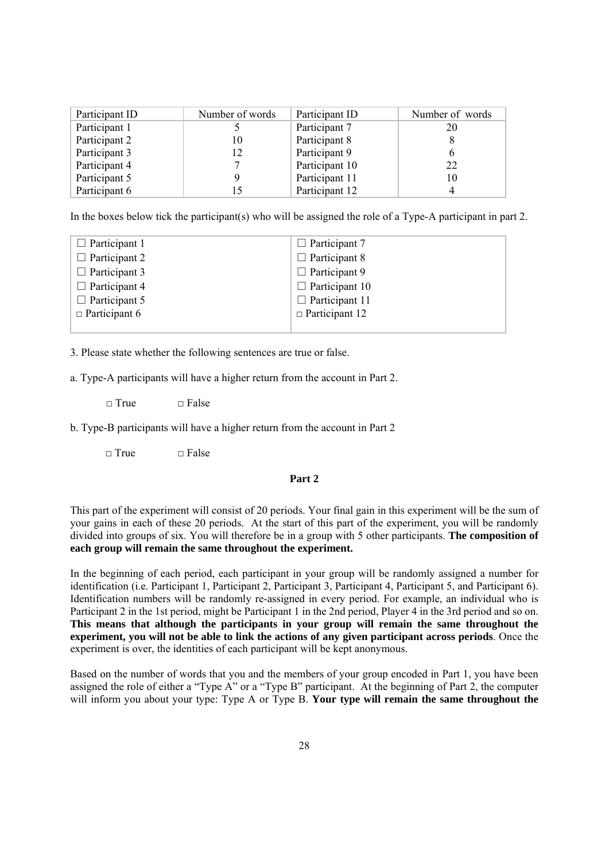| Participant ID | Number of words | Participant ID | Number of words |
|----------------|-----------------|----------------|-----------------|
| Participant 1  |                 | Participant 7  | 20              |
| Participant 2  | 10              | Participant 8  |                 |
| Participant 3  | 12              | Participant 9  |                 |
| Participant 4  |                 | Participant 10 | 22              |
| Participant 5  |                 | Participant 11 | 10              |
| Participant 6  |                 | Participant 12 |                 |

In the boxes below tick the participant(s) who will be assigned the role of a Type-A participant in part 2.

| $\Box$ Participant 1 | $\Box$ Participant 7  |
|----------------------|-----------------------|
| $\Box$ Participant 2 | $\Box$ Participant 8  |
| $\Box$ Participant 3 | $\Box$ Participant 9  |
| $\Box$ Participant 4 | $\Box$ Participant 10 |
| $\Box$ Participant 5 | $\Box$ Participant 11 |
| $\Box$ Participant 6 | $\Box$ Participant 12 |
|                      |                       |

3. Please state whether the following sentences are true or false.

a. Type-A participants will have a higher return from the account in Part 2.

□ True □ False

b. Type-B participants will have a higher return from the account in Part 2

□ True □ False

# **Part 2**

This part of the experiment will consist of 20 periods. Your final gain in this experiment will be the sum of your gains in each of these 20 periods. At the start of this part of the experiment, you will be randomly divided into groups of six. You will therefore be in a group with 5 other participants. **The composition of each group will remain the same throughout the experiment.**

In the beginning of each period, each participant in your group will be randomly assigned a number for identification (i.e. Participant 1, Participant 2, Participant 3, Participant 4, Participant 5, and Participant 6). Identification numbers will be randomly re-assigned in every period. For example, an individual who is Participant 2 in the 1st period, might be Participant 1 in the 2nd period, Player 4 in the 3rd period and so on. **This means that although the participants in your group will remain the same throughout the experiment, you will not be able to link the actions of any given participant across periods**. Once the experiment is over, the identities of each participant will be kept anonymous.

Based on the number of words that you and the members of your group encoded in Part 1, you have been assigned the role of either a "Type A" or a "Type B" participant. At the beginning of Part 2, the computer will inform you about your type: Type A or Type B. **Your type will remain the same throughout the**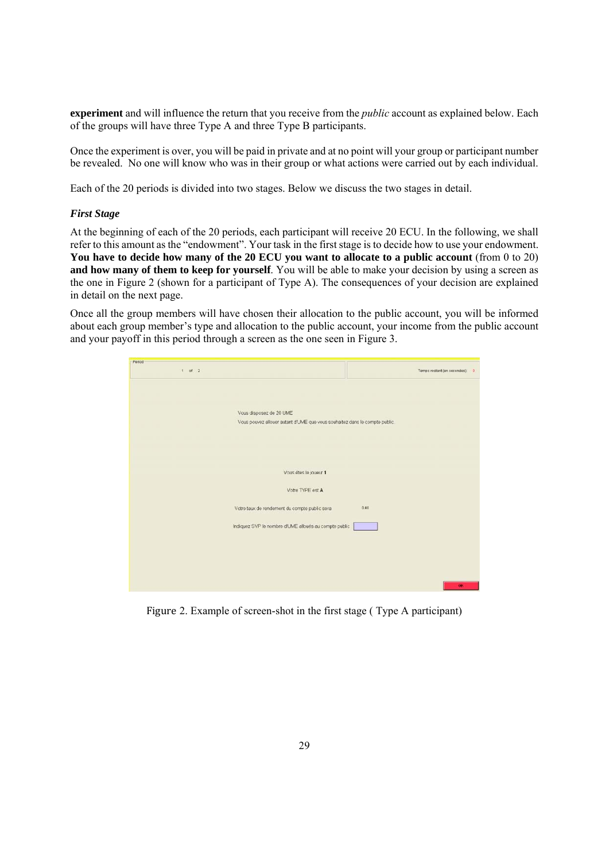**experiment** and will influence the return that you receive from the *public* account as explained below. Each of the groups will have three Type A and three Type B participants.

Once the experiment is over, you will be paid in private and at no point will your group or participant number be revealed. No one will know who was in their group or what actions were carried out by each individual.

Each of the 20 periods is divided into two stages. Below we discuss the two stages in detail.

#### *First Stage*

At the beginning of each of the 20 periods, each participant will receive 20 ECU. In the following, we shall refer to this amount as the "endowment". Your task in the first stage is to decide how to use your endowment. **You have to decide how many of the 20 ECU you want to allocate to a public account** (from 0 to 20) **and how many of them to keep for yourself**. You will be able to make your decision by using a screen as the one in Figure 2 (shown for a participant of Type A). The consequences of your decision are explained in detail on the next page.

Once all the group members will have chosen their allocation to the public account, you will be informed about each group member's type and allocation to the public account, your income from the public account and your payoff in this period through a screen as the one seen in Figure 3.



Figure 2. Example of screen-shot in the first stage ( Type A participant)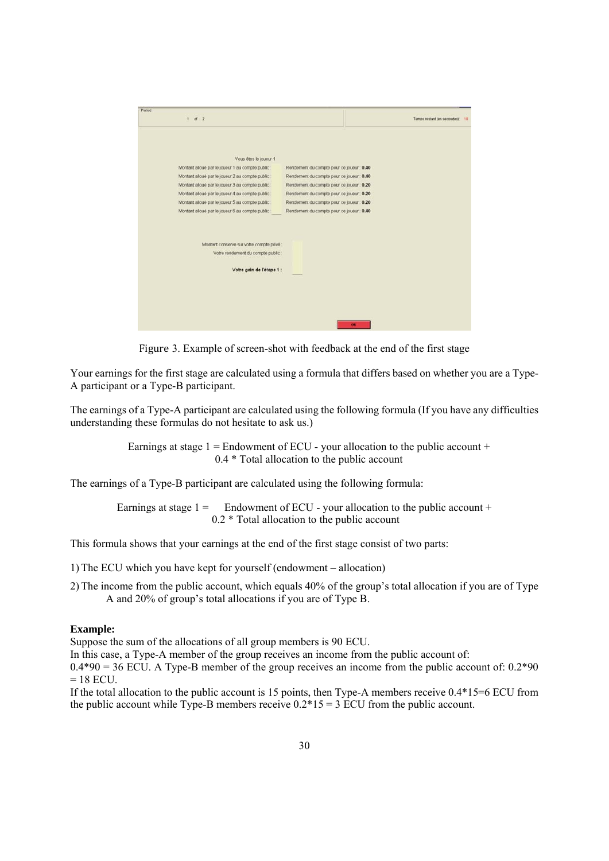| Period<br>٠.<br>of $2$                                                     |                                           | Temps restant (en secondes): 18 |
|----------------------------------------------------------------------------|-------------------------------------------|---------------------------------|
|                                                                            |                                           |                                 |
|                                                                            |                                           |                                 |
| Vous êtes le joueur 1<br>Montant alloué par le joueur 1 au compte public : |                                           |                                 |
|                                                                            | Rendement du compte pour ce joueur : 0.40 |                                 |
| Montant alloué par le joueur 2 au compte public :                          | Rendement du compte pour ce joueur : 0.40 |                                 |
| Montant alloué par le joueur 3 au compte public :                          | Rendement du compte pour ce joueur : 0.20 |                                 |
| Montant alloué par le joueur 4 au compte public :                          | Rendement du compte pour ce joueur : 0.20 |                                 |
| Montant alloué par le joueur 5 au compte public :                          | Rendement du compte pour ce joueur : 0.20 |                                 |
| Montant alloué par le joueur 6 au compte public :                          | Rendement du compte pour ce joueur : 0.40 |                                 |
|                                                                            |                                           |                                 |
|                                                                            |                                           |                                 |
| Montant conserve sur votre compte privé :                                  |                                           |                                 |
| Votre rendement du compte public :                                         |                                           |                                 |
|                                                                            |                                           |                                 |
| Votre gain de l'étape 1 :                                                  |                                           |                                 |
|                                                                            |                                           |                                 |
|                                                                            |                                           |                                 |
|                                                                            |                                           |                                 |
|                                                                            |                                           |                                 |
|                                                                            |                                           |                                 |
|                                                                            |                                           |                                 |
|                                                                            |                                           |                                 |

Figure 3. Example of screen-shot with feedback at the end of the first stage

Your earnings for the first stage are calculated using a formula that differs based on whether you are a Type-A participant or a Type-B participant.

The earnings of a Type-A participant are calculated using the following formula (If you have any difficulties understanding these formulas do not hesitate to ask us.)

> Earnings at stage  $1 =$  Endowment of ECU - your allocation to the public account + 0.4 \* Total allocation to the public account

The earnings of a Type-B participant are calculated using the following formula:

Earnings at stage  $1 =$  Endowment of ECU - your allocation to the public account + 0.2 \* Total allocation to the public account

This formula shows that your earnings at the end of the first stage consist of two parts:

1) The ECU which you have kept for yourself (endowment – allocation)

2) The income from the public account, which equals 40% of the group's total allocation if you are of Type A and 20% of group's total allocations if you are of Type B.

#### **Example:**

Suppose the sum of the allocations of all group members is 90 ECU.

In this case, a Type-A member of the group receives an income from the public account of:

 $0.4*90 = 36$  ECU. A Type-B member of the group receives an income from the public account of:  $0.2*90$  $= 18$  ECU.

If the total allocation to the public account is 15 points, then Type-A members receive 0.4\*15=6 ECU from the public account while Type-B members receive  $0.2*15 = 3$  ECU from the public account.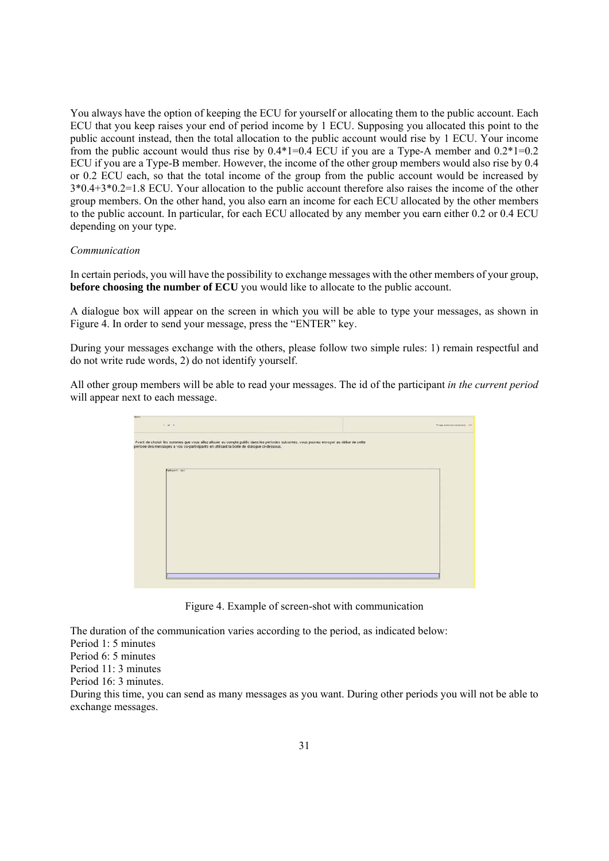You always have the option of keeping the ECU for yourself or allocating them to the public account. Each ECU that you keep raises your end of period income by 1 ECU. Supposing you allocated this point to the public account instead, then the total allocation to the public account would rise by 1 ECU. Your income from the public account would thus rise by  $0.4*1=0.4$  ECU if you are a Type-A member and  $0.2*1=0.2$ ECU if you are a Type-B member. However, the income of the other group members would also rise by 0.4 or 0.2 ECU each, so that the total income of the group from the public account would be increased by 3\*0.4+3\*0.2=1.8 ECU. Your allocation to the public account therefore also raises the income of the other group members. On the other hand, you also earn an income for each ECU allocated by the other members to the public account. In particular, for each ECU allocated by any member you earn either 0.2 or 0.4 ECU depending on your type.

#### *Communication*

In certain periods, you will have the possibility to exchange messages with the other members of your group, **before choosing the number of ECU** you would like to allocate to the public account.

A dialogue box will appear on the screen in which you will be able to type your messages, as shown in Figure 4. In order to send your message, press the "ENTER" key.

During your messages exchange with the others, please follow two simple rules: 1) remain respectful and do not write rude words, 2) do not identify yourself.

All other group members will be able to read your messages. The id of the participant *in the current period* will appear next to each message.

| $1 - 10 = 1$                                                                                                                                                                                                                      | Things restart and nature control 2000 |
|-----------------------------------------------------------------------------------------------------------------------------------------------------------------------------------------------------------------------------------|----------------------------------------|
|                                                                                                                                                                                                                                   |                                        |
|                                                                                                                                                                                                                                   |                                        |
| Avant de choisir les sommes que vous allez allouer au compte public dans les périodes suivantes, vous pouvez envoyer au début de cette<br>Jeriode des messages à vos co-participants en utilisant la boite de dialogue ci-dessous |                                        |
|                                                                                                                                                                                                                                   |                                        |
|                                                                                                                                                                                                                                   |                                        |
|                                                                                                                                                                                                                                   |                                        |
|                                                                                                                                                                                                                                   |                                        |
| Puttisett said                                                                                                                                                                                                                    |                                        |
|                                                                                                                                                                                                                                   |                                        |
|                                                                                                                                                                                                                                   |                                        |
|                                                                                                                                                                                                                                   |                                        |
|                                                                                                                                                                                                                                   |                                        |
|                                                                                                                                                                                                                                   |                                        |
|                                                                                                                                                                                                                                   |                                        |
|                                                                                                                                                                                                                                   |                                        |
|                                                                                                                                                                                                                                   |                                        |
|                                                                                                                                                                                                                                   |                                        |
|                                                                                                                                                                                                                                   |                                        |
|                                                                                                                                                                                                                                   |                                        |
|                                                                                                                                                                                                                                   |                                        |
|                                                                                                                                                                                                                                   |                                        |
|                                                                                                                                                                                                                                   |                                        |
|                                                                                                                                                                                                                                   |                                        |
|                                                                                                                                                                                                                                   |                                        |
|                                                                                                                                                                                                                                   |                                        |
|                                                                                                                                                                                                                                   |                                        |
|                                                                                                                                                                                                                                   |                                        |

Figure 4. Example of screen-shot with communication

The duration of the communication varies according to the period, as indicated below: Period 1: 5 minutes Period 6: 5 minutes Period 11: 3 minutes Period 16: 3 minutes. During this time, you can send as many messages as you want. During other periods you will not be able to exchange messages.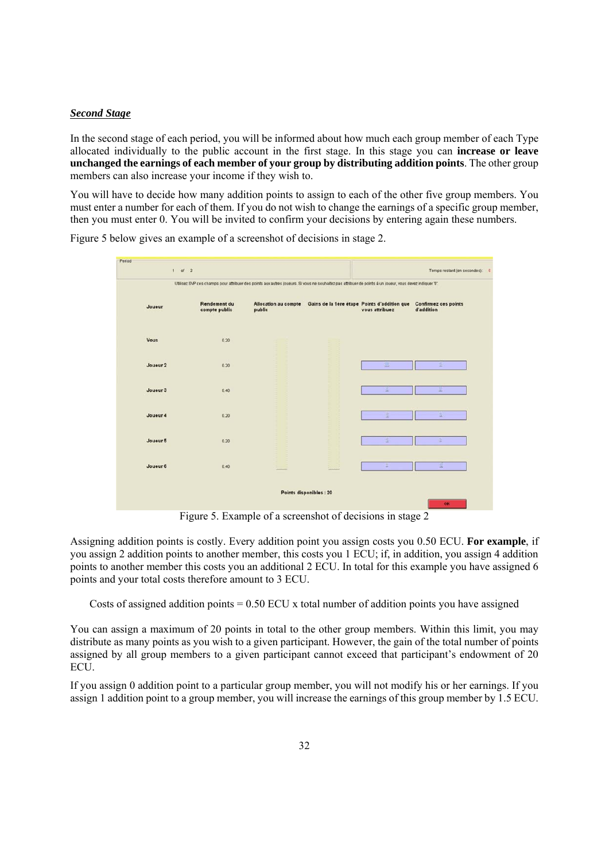#### *Second Stage*

In the second stage of each period, you will be informed about how much each group member of each Type allocated individually to the public account in the first stage. In this stage you can **increase or leave unchanged the earnings of each member of your group by distributing addition points**. The other group members can also increase your income if they wish to.

You will have to decide how many addition points to assign to each of the other five group members. You must enter a number for each of them. If you do not wish to change the earnings of a specific group member, then you must enter 0. You will be invited to confirm your decisions by entering again these numbers.

 $1$  of 2 Temps restant (en seco Utilisez SVP ces champs pour attri .<br>Traitez pas athibuer de points à un loueur, yous devez indiquer 'D' Gains de la 1ère étape Points d'addition que<br>vous attribuez Vous  $0.20$ Joueur 2  $0.20$ Joueur 3  $0.40$ Joueur 4  $0.20$ Joueur 5  $0.20$ Joueur 6  $0.40$ Points disponibles : 20

Figure 5 below gives an example of a screenshot of decisions in stage 2.

Figure 5. Example of a screenshot of decisions in stage 2

Assigning addition points is costly. Every addition point you assign costs you 0.50 ECU. **For example**, if you assign 2 addition points to another member, this costs you 1 ECU; if, in addition, you assign 4 addition points to another member this costs you an additional 2 ECU. In total for this example you have assigned 6 points and your total costs therefore amount to 3 ECU.

Costs of assigned addition points  $= 0.50$  ECU x total number of addition points you have assigned

You can assign a maximum of 20 points in total to the other group members. Within this limit, you may distribute as many points as you wish to a given participant. However, the gain of the total number of points assigned by all group members to a given participant cannot exceed that participant's endowment of 20 ECU.

If you assign 0 addition point to a particular group member, you will not modify his or her earnings. If you assign 1 addition point to a group member, you will increase the earnings of this group member by 1.5 ECU.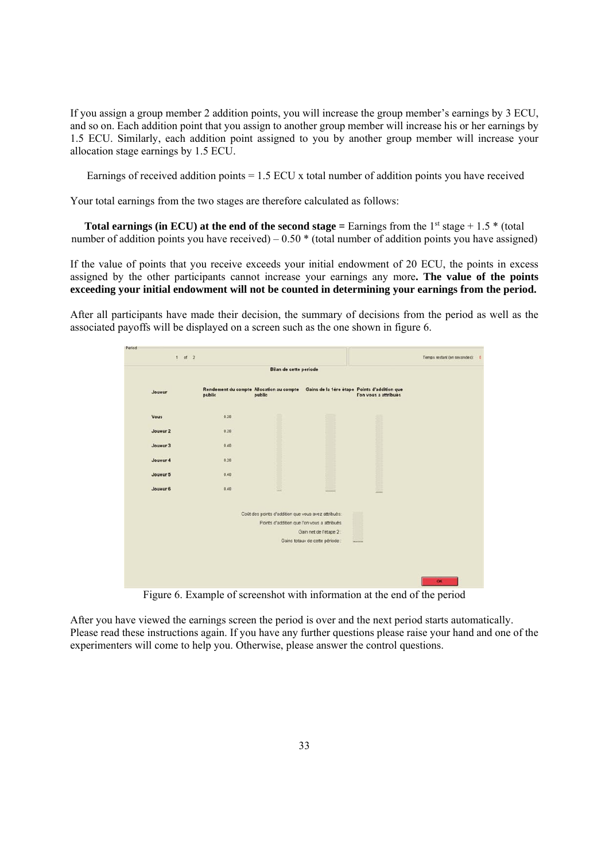If you assign a group member 2 addition points, you will increase the group member's earnings by 3 ECU, and so on. Each addition point that you assign to another group member will increase his or her earnings by 1.5 ECU. Similarly, each addition point assigned to you by another group member will increase your allocation stage earnings by 1.5 ECU.

Earnings of received addition points  $= 1.5$  ECU x total number of addition points you have received

Your total earnings from the two stages are therefore calculated as follows:

**Total earnings (in ECU) at the end of the second stage =** Earnings from the  $1<sup>st</sup>$  stage + 1.5  $*$  (total number of addition points you have received) –  $0.50 *$  (total number of addition points you have assigned)

If the value of points that you receive exceeds your initial endowment of 20 ECU, the points in excess assigned by the other participants cannot increase your earnings any more**. The value of the points exceeding your initial endowment will not be counted in determining your earnings from the period.**

After all participants have made their decision, the summary of decisions from the period as well as the associated payoffs will be displayed on a screen such as the one shown in figure 6.

| $1$ of $2$  |                                                    |                                                     |                                                          |                       | Temps restant (en secondes): |
|-------------|----------------------------------------------------|-----------------------------------------------------|----------------------------------------------------------|-----------------------|------------------------------|
|             |                                                    | Bilan de cette periode                              |                                                          |                       |                              |
| Joueur      | Rendement du compte Allocation au compte<br>public | public                                              | Gains de la 1ère étape Points d'addition que             | l'on vous a attribués |                              |
| <b>Vous</b> | 0.20                                               |                                                     |                                                          |                       |                              |
| Joueur 2    | 0.20                                               |                                                     |                                                          |                       |                              |
| Joueur 3    | 0.40                                               |                                                     |                                                          |                       |                              |
| Joueur 4    | 0.26                                               |                                                     |                                                          |                       |                              |
| Joueur 5    | 0.40                                               |                                                     |                                                          |                       |                              |
| Joueur 6    | 0.40                                               | -                                                   |                                                          |                       |                              |
|             |                                                    | Coût des points d'addition que vous avez attribués: |                                                          |                       |                              |
|             |                                                    | Points d'addition que l'on vous a attribués         |                                                          |                       |                              |
|             |                                                    |                                                     | Gain net de l'étape 2 :<br>Gains totaux de cette période | <b>SALAH</b>          |                              |
|             |                                                    |                                                     |                                                          |                       |                              |
|             |                                                    |                                                     |                                                          |                       |                              |
|             |                                                    |                                                     |                                                          |                       |                              |

Figure 6. Example of screenshot with information at the end of the period

After you have viewed the earnings screen the period is over and the next period starts automatically. Please read these instructions again. If you have any further questions please raise your hand and one of the experimenters will come to help you. Otherwise, please answer the control questions.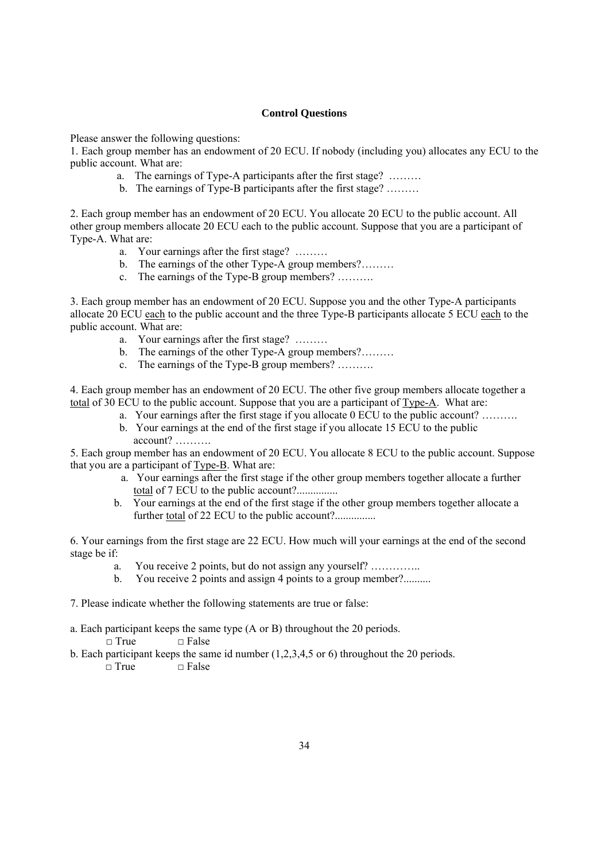### **Control Questions**

Please answer the following questions:

1. Each group member has an endowment of 20 ECU. If nobody (including you) allocates any ECU to the public account. What are:

- a. The earnings of Type-A participants after the first stage? ………
- b. The earnings of Type-B participants after the first stage? ………

2. Each group member has an endowment of 20 ECU. You allocate 20 ECU to the public account. All other group members allocate 20 ECU each to the public account. Suppose that you are a participant of Type-A. What are:

- a. Your earnings after the first stage? ………
- b. The earnings of the other Type-A group members?………
- c. The earnings of the Type-B group members? ……….

3. Each group member has an endowment of 20 ECU. Suppose you and the other Type-A participants allocate 20 ECU each to the public account and the three Type-B participants allocate 5 ECU each to the public account. What are:

- a. Your earnings after the first stage? ………
- b. The earnings of the other Type-A group members?………
- c. The earnings of the Type-B group members? ……….

4. Each group member has an endowment of 20 ECU. The other five group members allocate together a total of 30 ECU to the public account. Suppose that you are a participant of Type-A. What are:

- a. Your earnings after the first stage if you allocate 0 ECU to the public account? ……….
- b. Your earnings at the end of the first stage if you allocate 15 ECU to the public account? ……….

5. Each group member has an endowment of 20 ECU. You allocate 8 ECU to the public account. Suppose that you are a participant of Type-B. What are:

- a. Your earnings after the first stage if the other group members together allocate a further total of 7 ECU to the public account?...............
- b. Your earnings at the end of the first stage if the other group members together allocate a further total of 22 ECU to the public account?...............

6. Your earnings from the first stage are 22 ECU. How much will your earnings at the end of the second stage be if:

- a. You receive 2 points, but do not assign any yourself? …………..
- b. You receive 2 points and assign 4 points to a group member?.........

7. Please indicate whether the following statements are true or false:

- a. Each participant keeps the same type (A or B) throughout the 20 periods. □ True □ False
- b. Each participant keeps the same id number (1,2,3,4,5 or 6) throughout the 20 periods.  $\Box$  True  $\Box$  False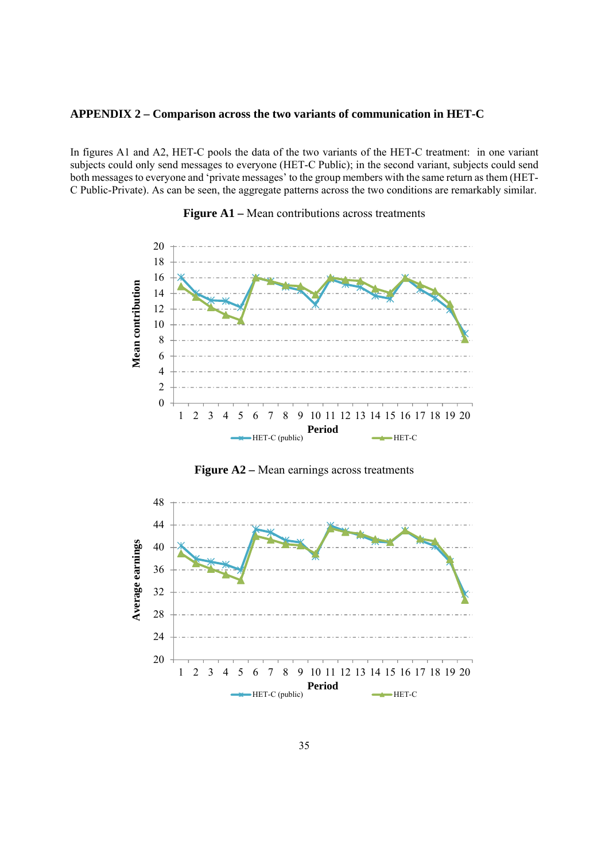# **APPENDIX 2 – Comparison across the two variants of communication in HET-C**

In figures A1 and A2, HET-C pools the data of the two variants of the HET-C treatment: in one variant subjects could only send messages to everyone (HET-C Public); in the second variant, subjects could send both messages to everyone and 'private messages' to the group members with the same return as them (HET-C Public-Private). As can be seen, the aggregate patterns across the two conditions are remarkably similar.





**Figure A2** – Mean earnings across treatments

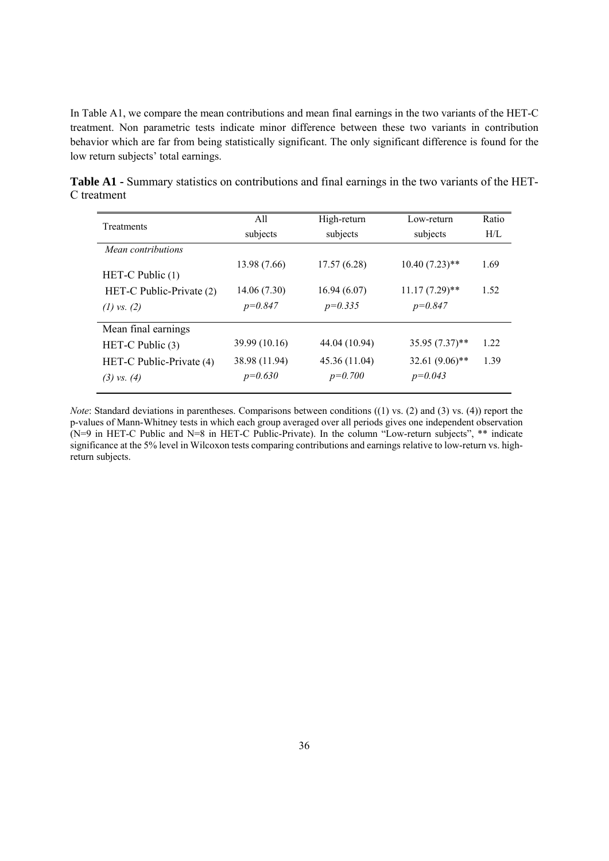In Table A1, we compare the mean contributions and mean final earnings in the two variants of the HET-C treatment. Non parametric tests indicate minor difference between these two variants in contribution behavior which are far from being statistically significant. The only significant difference is found for the low return subjects' total earnings.

**Table A1 -** Summary statistics on contributions and final earnings in the two variants of the HET-C treatment

| Treatments               | All           | High-return   | Low-return        | Ratio |
|--------------------------|---------------|---------------|-------------------|-------|
|                          | subjects      | subjects      | subjects          | H/L   |
| Mean contributions       |               |               |                   |       |
| HET-C Public (1)         | 13.98 (7.66)  | 17.57(6.28)   | $10.40(7.23)$ **  | 1.69  |
| HET-C Public-Private (2) | 14.06 (7.30)  | 16.94(6.07)   | $11.17(7.29)$ **  | 1.52  |
| $(1)$ vs. $(2)$          | $p=0.847$     | $p=0.335$     | $p=0.847$         |       |
| Mean final earnings      |               |               |                   |       |
| HET-C Public $(3)$       | 39.99 (10.16) | 44.04 (10.94) | $35.95(7.37)$ **  | 1.22  |
| HET-C Public-Private (4) | 38.98 (11.94) | 45.36 (11.04) | 32.61 $(9.06)$ ** | 1.39  |
| $(3)$ vs. $(4)$          | $p=0.630$     | $p=0.700$     | $p=0.043$         |       |

*Note*: Standard deviations in parentheses. Comparisons between conditions ((1) vs. (2) and (3) vs. (4)) report the p-values of Mann-Whitney tests in which each group averaged over all periods gives one independent observation (N=9 in HET-C Public and N=8 in HET-C Public-Private). In the column "Low-return subjects", \*\* indicate significance at the 5% level in Wilcoxon tests comparing contributions and earnings relative to low-return vs. highreturn subjects.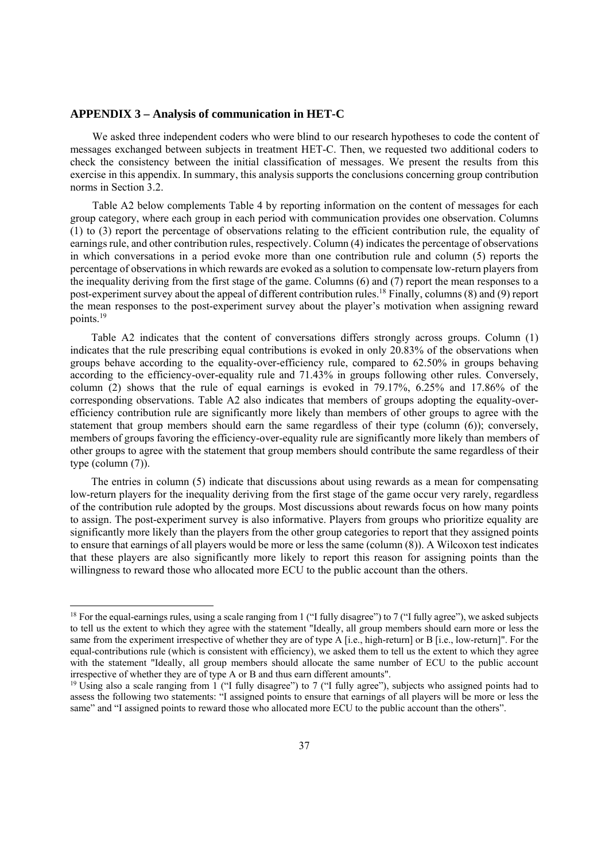#### **APPENDIX 3 – Analysis of communication in HET-C**

We asked three independent coders who were blind to our research hypotheses to code the content of messages exchanged between subjects in treatment HET-C. Then, we requested two additional coders to check the consistency between the initial classification of messages. We present the results from this exercise in this appendix. In summary, this analysis supports the conclusions concerning group contribution norms in Section 3.2.

Table A2 below complements Table 4 by reporting information on the content of messages for each group category, where each group in each period with communication provides one observation. Columns (1) to (3) report the percentage of observations relating to the efficient contribution rule, the equality of earnings rule, and other contribution rules, respectively. Column (4) indicates the percentage of observations in which conversations in a period evoke more than one contribution rule and column (5) reports the percentage of observations in which rewards are evoked as a solution to compensate low-return players from the inequality deriving from the first stage of the game. Columns (6) and (7) report the mean responses to a post-experiment survey about the appeal of different contribution rules.18 Finally, columns (8) and (9) report the mean responses to the post-experiment survey about the player's motivation when assigning reward points.19

Table A2 indicates that the content of conversations differs strongly across groups. Column (1) indicates that the rule prescribing equal contributions is evoked in only 20.83% of the observations when groups behave according to the equality-over-efficiency rule, compared to 62.50% in groups behaving according to the efficiency-over-equality rule and 71.43% in groups following other rules. Conversely, column (2) shows that the rule of equal earnings is evoked in 79.17%, 6.25% and 17.86% of the corresponding observations. Table A2 also indicates that members of groups adopting the equality-overefficiency contribution rule are significantly more likely than members of other groups to agree with the statement that group members should earn the same regardless of their type (column (6)); conversely, members of groups favoring the efficiency-over-equality rule are significantly more likely than members of other groups to agree with the statement that group members should contribute the same regardless of their type (column (7)).

The entries in column (5) indicate that discussions about using rewards as a mean for compensating low-return players for the inequality deriving from the first stage of the game occur very rarely, regardless of the contribution rule adopted by the groups. Most discussions about rewards focus on how many points to assign. The post-experiment survey is also informative. Players from groups who prioritize equality are significantly more likely than the players from the other group categories to report that they assigned points to ensure that earnings of all players would be more or less the same (column (8)). A Wilcoxon test indicates that these players are also significantly more likely to report this reason for assigning points than the willingness to reward those who allocated more ECU to the public account than the others.

<sup>&</sup>lt;sup>18</sup> For the equal-earnings rules, using a scale ranging from 1 ("I fully disagree") to 7 ("I fully agree"), we asked subjects to tell us the extent to which they agree with the statement "Ideally, all group members should earn more or less the same from the experiment irrespective of whether they are of type A [i.e., high-return] or B [i.e., low-return]". For the equal-contributions rule (which is consistent with efficiency), we asked them to tell us the extent to which they agree with the statement "Ideally, all group members should allocate the same number of ECU to the public account irrespective of whether they are of type A or B and thus earn different amounts".

<sup>19</sup> Using also a scale ranging from 1 ("I fully disagree") to 7 ("I fully agree"), subjects who assigned points had to assess the following two statements: "I assigned points to ensure that earnings of all players will be more or less the same" and "I assigned points to reward those who allocated more ECU to the public account than the others".